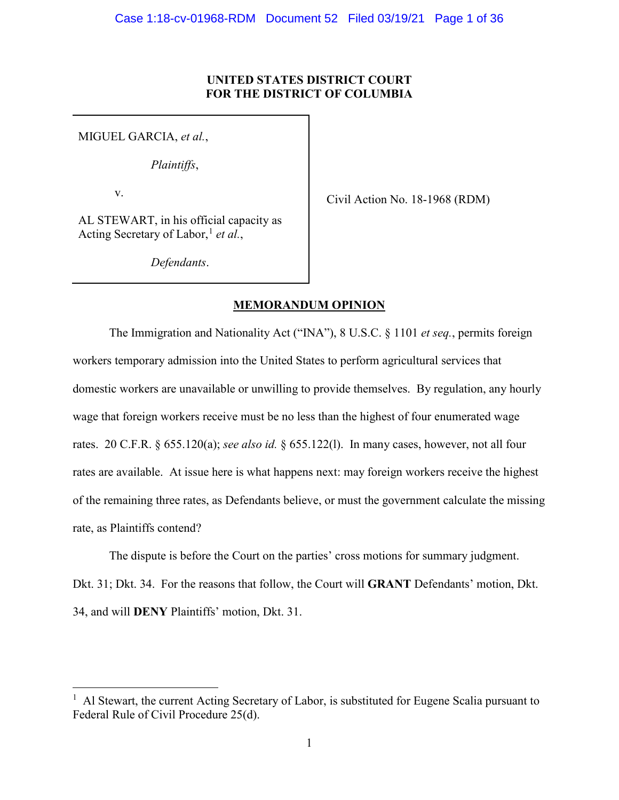## **UNITED STATES DISTRICT COURT FOR THE DISTRICT OF COLUMBIA**

MIGUEL GARCIA, *et al.*,

*Plaintiffs*,

v.

Civil Action No. 18-1968 (RDM)

AL STEWART, in his official capacity as Acting Secretary of Labor,<sup>[1](#page-0-0)</sup> *et al.*,

*Defendants*.

## **MEMORANDUM OPINION**

The Immigration and Nationality Act ("INA"), 8 U.S.C. § 1101 *et seq.*, permits foreign workers temporary admission into the United States to perform agricultural services that domestic workers are unavailable or unwilling to provide themselves. By regulation, any hourly wage that foreign workers receive must be no less than the highest of four enumerated wage rates. 20 C.F.R. § 655.120(a); *see also id.* § 655.122(l). In many cases, however, not all four rates are available. At issue here is what happens next: may foreign workers receive the highest of the remaining three rates, as Defendants believe, or must the government calculate the missing rate, as Plaintiffs contend?

The dispute is before the Court on the parties' cross motions for summary judgment. Dkt. 31; Dkt. 34. For the reasons that follow, the Court will **GRANT** Defendants' motion, Dkt. 34, and will **DENY** Plaintiffs' motion, Dkt. 31.

<span id="page-0-0"></span> $\frac{1}{1}$ <sup>1</sup> Al Stewart, the current Acting Secretary of Labor, is substituted for Eugene Scalia pursuant to Federal Rule of Civil Procedure 25(d).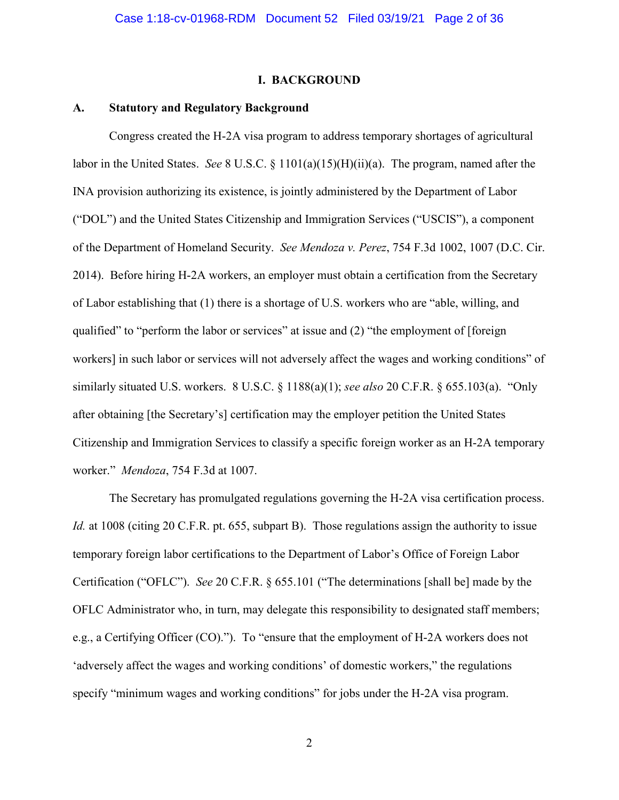### **I. BACKGROUND**

### **A. Statutory and Regulatory Background**

Congress created the H-2A visa program to address temporary shortages of agricultural labor in the United States. *See* 8 U.S.C. § 1101(a)(15)(H)(ii)(a). The program, named after the INA provision authorizing its existence, is jointly administered by the Department of Labor ("DOL") and the United States Citizenship and Immigration Services ("USCIS"), a component of the Department of Homeland Security. *See Mendoza v. Perez*, 754 F.3d 1002, 1007 (D.C. Cir. 2014). Before hiring H-2A workers, an employer must obtain a certification from the Secretary of Labor establishing that (1) there is a shortage of U.S. workers who are "able, willing, and qualified" to "perform the labor or services" at issue and (2) "the employment of [foreign] workers] in such labor or services will not adversely affect the wages and working conditions" of similarly situated U.S. workers. 8 U.S.C. § 1188(a)(1); *see also* 20 C.F.R. § 655.103(a). "Only after obtaining [the Secretary's] certification may the employer petition the United States Citizenship and Immigration Services to classify a specific foreign worker as an H-2A temporary worker." *Mendoza*, 754 F.3d at 1007.

The Secretary has promulgated regulations governing the H-2A visa certification process. *Id.* at 1008 (citing 20 C.F.R. pt. 655, subpart B). Those regulations assign the authority to issue temporary foreign labor certifications to the Department of Labor's Office of Foreign Labor Certification ("OFLC"). *See* 20 C.F.R. § 655.101 ("The determinations [shall be] made by the OFLC Administrator who, in turn, may delegate this responsibility to designated staff members; e.g., a Certifying Officer (CO)."). To "ensure that the employment of H-2A workers does not 'adversely affect the wages and working conditions' of domestic workers," the regulations specify "minimum wages and working conditions" for jobs under the H-2A visa program.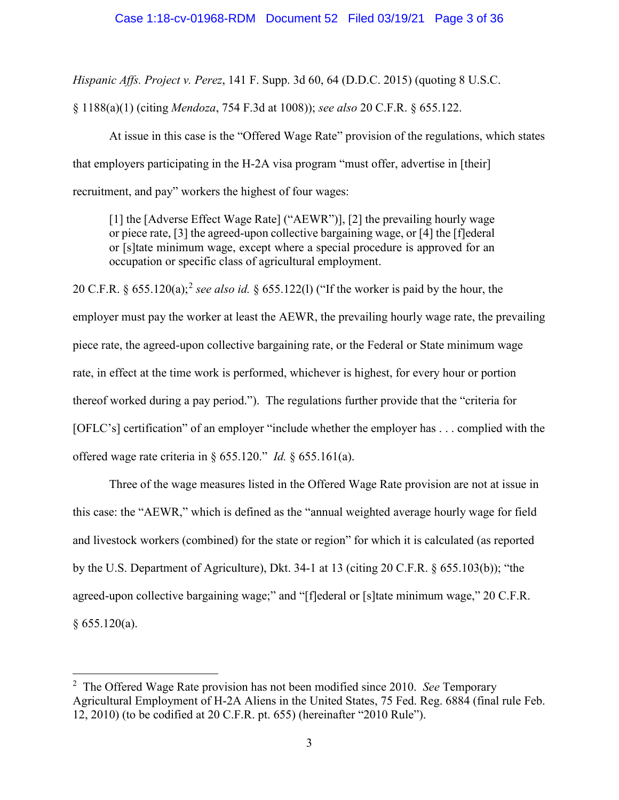*Hispanic Affs. Project v. Perez*, 141 F. Supp. 3d 60, 64 (D.D.C. 2015) (quoting 8 U.S.C.

§ 1188(a)(1) (citing *Mendoza*, 754 F.3d at 1008)); *see also* 20 C.F.R. § 655.122.

At issue in this case is the "Offered Wage Rate" provision of the regulations, which states that employers participating in the H-2A visa program "must offer, advertise in [their] recruitment, and pay" workers the highest of four wages:

[1] the [Adverse Effect Wage Rate] ("AEWR")], [2] the prevailing hourly wage or piece rate, [3] the agreed-upon collective bargaining wage, or [4] the [f]ederal or [s]tate minimum wage, except where a special procedure is approved for an occupation or specific class of agricultural employment.

20 C.F.R. § 655.120(a); [2](#page-2-0) *see also id.* § 655.122(l) ("If the worker is paid by the hour, the employer must pay the worker at least the AEWR, the prevailing hourly wage rate, the prevailing piece rate, the agreed-upon collective bargaining rate, or the Federal or State minimum wage rate, in effect at the time work is performed, whichever is highest, for every hour or portion thereof worked during a pay period."). The regulations further provide that the "criteria for [OFLC's] certification" of an employer "include whether the employer has . . . complied with the offered wage rate criteria in § 655.120." *Id.* § 655.161(a).

Three of the wage measures listed in the Offered Wage Rate provision are not at issue in this case: the "AEWR," which is defined as the "annual weighted average hourly wage for field and livestock workers (combined) for the state or region" for which it is calculated (as reported by the U.S. Department of Agriculture), Dkt. 34-1 at 13 (citing 20 C.F.R. § 655.103(b)); "the agreed-upon collective bargaining wage;" and "[f]ederal or [s]tate minimum wage," 20 C.F.R.  $§ 655.120(a).$ 

<span id="page-2-0"></span> $\frac{1}{2}$  The Offered Wage Rate provision has not been modified since 2010. *See* Temporary Agricultural Employment of H-2A Aliens in the United States, 75 Fed. Reg. 6884 (final rule Feb. 12, 2010) (to be codified at 20 C.F.R. pt. 655) (hereinafter "2010 Rule").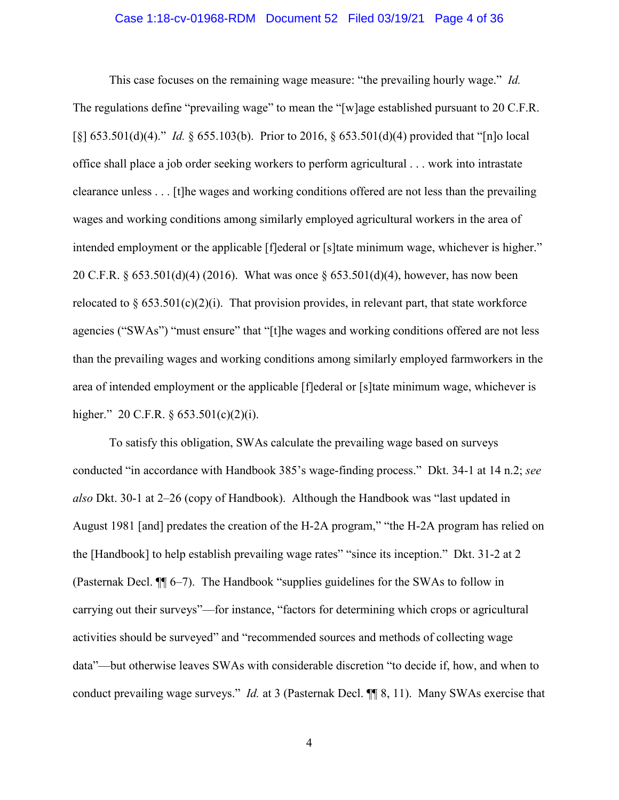### Case 1:18-cv-01968-RDM Document 52 Filed 03/19/21 Page 4 of 36

This case focuses on the remaining wage measure: "the prevailing hourly wage." *Id.* The regulations define "prevailing wage" to mean the "[w]age established pursuant to 20 C.F.R. [§] 653.501(d)(4)." *Id.* § 655.103(b). Prior to 2016, § 653.501(d)(4) provided that "[n]o local office shall place a job order seeking workers to perform agricultural . . . work into intrastate clearance unless . . . [t]he wages and working conditions offered are not less than the prevailing wages and working conditions among similarly employed agricultural workers in the area of intended employment or the applicable [f]ederal or [s]tate minimum wage, whichever is higher." 20 C.F.R. § 653.501(d)(4) (2016). What was once § 653.501(d)(4), however, has now been relocated to  $\S 653.501(c)(2)(i)$ . That provision provides, in relevant part, that state workforce agencies ("SWAs") "must ensure" that "[t]he wages and working conditions offered are not less than the prevailing wages and working conditions among similarly employed farmworkers in the area of intended employment or the applicable [f]ederal or [s]tate minimum wage, whichever is higher." 20 C.F.R.  $\S 653.501(c)(2)(i)$ .

To satisfy this obligation, SWAs calculate the prevailing wage based on surveys conducted "in accordance with Handbook 385's wage-finding process." Dkt. 34-1 at 14 n.2; *see also* Dkt. 30-1 at 2–26 (copy of Handbook). Although the Handbook was "last updated in August 1981 [and] predates the creation of the H-2A program," "the H-2A program has relied on the [Handbook] to help establish prevailing wage rates" "since its inception." Dkt. 31-2 at 2 (Pasternak Decl. ¶¶ 6–7). The Handbook "supplies guidelines for the SWAs to follow in carrying out their surveys"—for instance, "factors for determining which crops or agricultural activities should be surveyed" and "recommended sources and methods of collecting wage data"—but otherwise leaves SWAs with considerable discretion "to decide if, how, and when to conduct prevailing wage surveys." *Id.* at 3 (Pasternak Decl. ¶¶ 8, 11). Many SWAs exercise that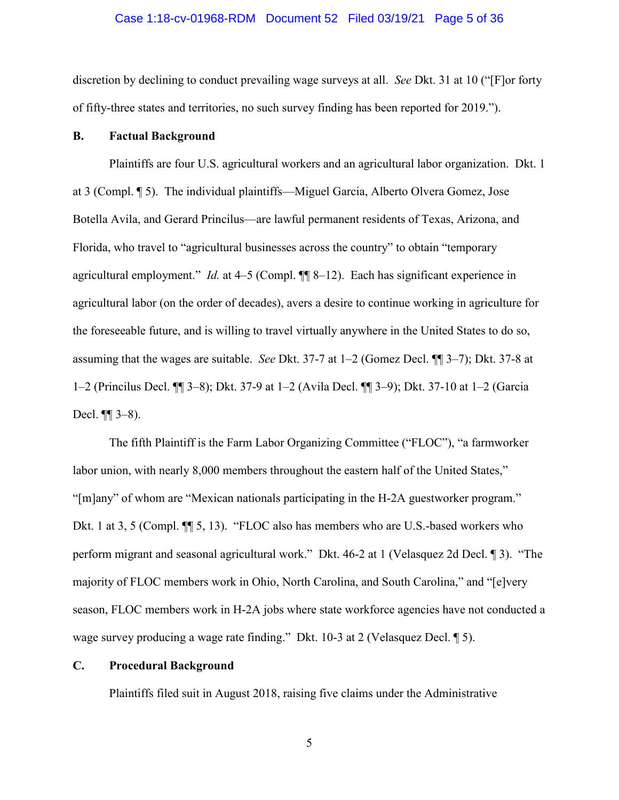### Case 1:18-cv-01968-RDM Document 52 Filed 03/19/21 Page 5 of 36

discretion by declining to conduct prevailing wage surveys at all. *See* Dkt. 31 at 10 ("[F]or forty of fifty-three states and territories, no such survey finding has been reported for 2019.").

## **B. Factual Background**

Plaintiffs are four U.S. agricultural workers and an agricultural labor organization. Dkt. 1 at 3 (Compl. ¶ 5). The individual plaintiffs—Miguel Garcia, Alberto Olvera Gomez, Jose Botella Avila, and Gerard Princilus—are lawful permanent residents of Texas, Arizona, and Florida, who travel to "agricultural businesses across the country" to obtain "temporary agricultural employment." *Id.* at 4–5 (Compl. ¶¶ 8–12). Each has significant experience in agricultural labor (on the order of decades), avers a desire to continue working in agriculture for the foreseeable future, and is willing to travel virtually anywhere in the United States to do so, assuming that the wages are suitable. *See* Dkt. 37-7 at 1–2 (Gomez Decl. ¶¶ 3–7); Dkt. 37-8 at 1–2 (Princilus Decl. ¶¶ 3–8); Dkt. 37-9 at 1–2 (Avila Decl. ¶¶ 3–9); Dkt. 37-10 at 1–2 (Garcia Decl. ¶¶ 3–8).

The fifth Plaintiff is the Farm Labor Organizing Committee ("FLOC"), "a farmworker labor union, with nearly 8,000 members throughout the eastern half of the United States," "[m]any" of whom are "Mexican nationals participating in the H-2A guestworker program." Dkt. 1 at 3, 5 (Compl. ¶¶ 5, 13). "FLOC also has members who are U.S.-based workers who perform migrant and seasonal agricultural work." Dkt. 46-2 at 1 (Velasquez 2d Decl. ¶ 3). "The majority of FLOC members work in Ohio, North Carolina, and South Carolina," and "[e]very season, FLOC members work in H-2A jobs where state workforce agencies have not conducted a wage survey producing a wage rate finding." Dkt. 10-3 at 2 (Velasquez Decl. ¶ 5).

## **C. Procedural Background**

Plaintiffs filed suit in August 2018, raising five claims under the Administrative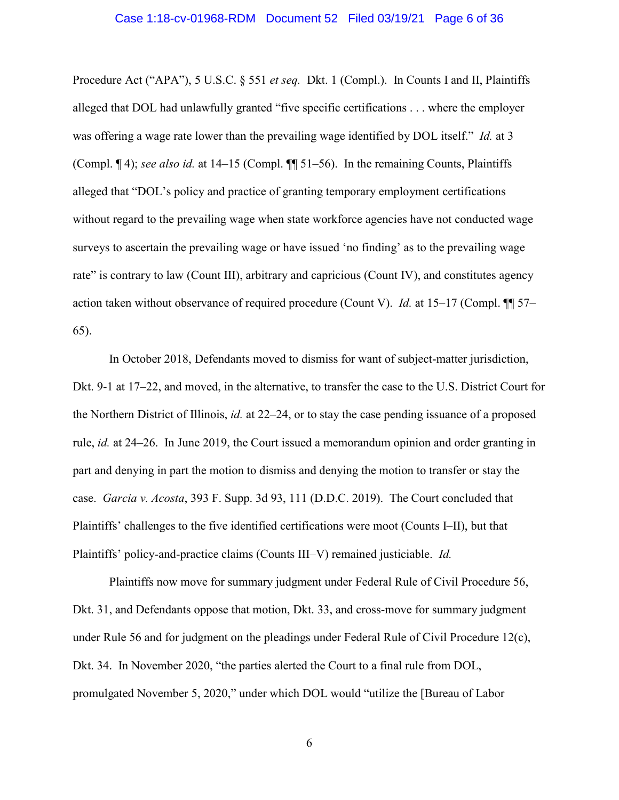### Case 1:18-cv-01968-RDM Document 52 Filed 03/19/21 Page 6 of 36

Procedure Act ("APA"), 5 U.S.C. § 551 *et seq.* Dkt. 1 (Compl.). In Counts I and II, Plaintiffs alleged that DOL had unlawfully granted "five specific certifications . . . where the employer was offering a wage rate lower than the prevailing wage identified by DOL itself." *Id.* at 3 (Compl. ¶ 4); *see also id.* at 14–15 (Compl. ¶¶ 51–56). In the remaining Counts, Plaintiffs alleged that "DOL's policy and practice of granting temporary employment certifications without regard to the prevailing wage when state workforce agencies have not conducted wage surveys to ascertain the prevailing wage or have issued 'no finding' as to the prevailing wage rate" is contrary to law (Count III), arbitrary and capricious (Count IV), and constitutes agency action taken without observance of required procedure (Count V). *Id.* at 15–17 (Compl. ¶¶ 57– 65).

In October 2018, Defendants moved to dismiss for want of subject-matter jurisdiction, Dkt. 9-1 at 17–22, and moved, in the alternative, to transfer the case to the U.S. District Court for the Northern District of Illinois, *id.* at 22–24, or to stay the case pending issuance of a proposed rule, *id.* at 24–26. In June 2019, the Court issued a memorandum opinion and order granting in part and denying in part the motion to dismiss and denying the motion to transfer or stay the case. *Garcia v. Acosta*, 393 F. Supp. 3d 93, 111 (D.D.C. 2019). The Court concluded that Plaintiffs' challenges to the five identified certifications were moot (Counts I–II), but that Plaintiffs' policy-and-practice claims (Counts III–V) remained justiciable. *Id.*

Plaintiffs now move for summary judgment under Federal Rule of Civil Procedure 56, Dkt. 31, and Defendants oppose that motion, Dkt. 33, and cross-move for summary judgment under Rule 56 and for judgment on the pleadings under Federal Rule of Civil Procedure 12(c), Dkt. 34. In November 2020, "the parties alerted the Court to a final rule from DOL, promulgated November 5, 2020," under which DOL would "utilize the [Bureau of Labor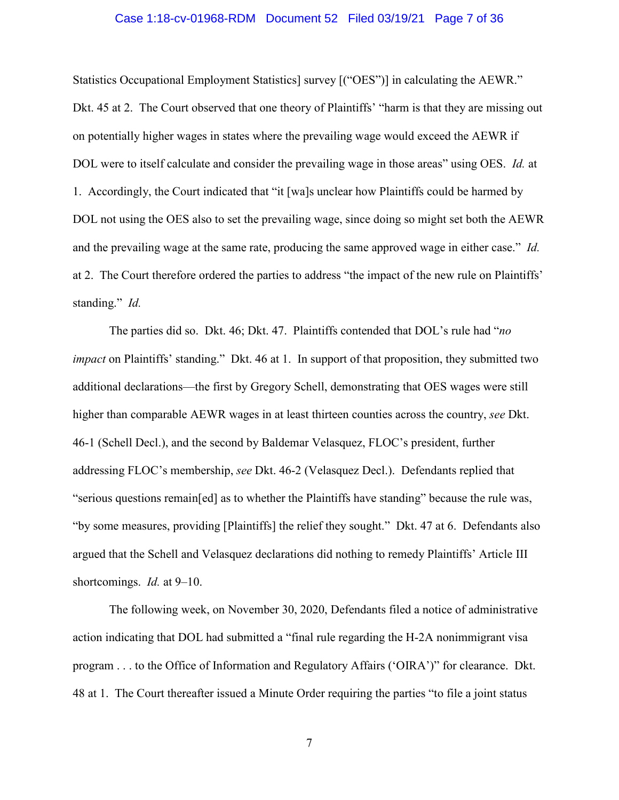### Case 1:18-cv-01968-RDM Document 52 Filed 03/19/21 Page 7 of 36

Statistics Occupational Employment Statistics] survey [("OES")] in calculating the AEWR." Dkt. 45 at 2. The Court observed that one theory of Plaintiffs' "harm is that they are missing out on potentially higher wages in states where the prevailing wage would exceed the AEWR if DOL were to itself calculate and consider the prevailing wage in those areas" using OES. *Id.* at 1. Accordingly, the Court indicated that "it [wa]s unclear how Plaintiffs could be harmed by DOL not using the OES also to set the prevailing wage, since doing so might set both the AEWR and the prevailing wage at the same rate, producing the same approved wage in either case." *Id.* at 2. The Court therefore ordered the parties to address "the impact of the new rule on Plaintiffs' standing." *Id.*

The parties did so. Dkt. 46; Dkt. 47. Plaintiffs contended that DOL's rule had "*no impact* on Plaintiffs' standing." Dkt. 46 at 1. In support of that proposition, they submitted two additional declarations—the first by Gregory Schell, demonstrating that OES wages were still higher than comparable AEWR wages in at least thirteen counties across the country, *see* Dkt. 46-1 (Schell Decl.), and the second by Baldemar Velasquez, FLOC's president, further addressing FLOC's membership, *see* Dkt. 46-2 (Velasquez Decl.). Defendants replied that "serious questions remain[ed] as to whether the Plaintiffs have standing" because the rule was, "by some measures, providing [Plaintiffs] the relief they sought." Dkt. 47 at 6. Defendants also argued that the Schell and Velasquez declarations did nothing to remedy Plaintiffs' Article III shortcomings. *Id.* at 9–10.

The following week, on November 30, 2020, Defendants filed a notice of administrative action indicating that DOL had submitted a "final rule regarding the H-2A nonimmigrant visa program . . . to the Office of Information and Regulatory Affairs ('OIRA')" for clearance. Dkt. 48 at 1. The Court thereafter issued a Minute Order requiring the parties "to file a joint status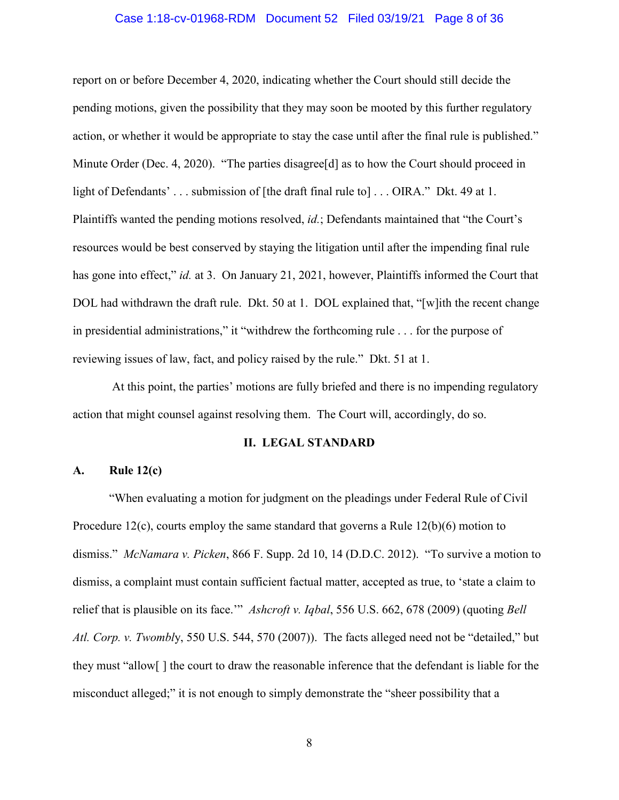### Case 1:18-cv-01968-RDM Document 52 Filed 03/19/21 Page 8 of 36

report on or before December 4, 2020, indicating whether the Court should still decide the pending motions, given the possibility that they may soon be mooted by this further regulatory action, or whether it would be appropriate to stay the case until after the final rule is published." Minute Order (Dec. 4, 2020). "The parties disagree [d] as to how the Court should proceed in light of Defendants' . . . submission of [the draft final rule to] . . . OIRA." Dkt. 49 at 1. Plaintiffs wanted the pending motions resolved, *id.*; Defendants maintained that "the Court's resources would be best conserved by staying the litigation until after the impending final rule has gone into effect," *id.* at 3. On January 21, 2021, however, Plaintiffs informed the Court that DOL had withdrawn the draft rule. Dkt. 50 at 1. DOL explained that, "[w]ith the recent change in presidential administrations," it "withdrew the forthcoming rule . . . for the purpose of reviewing issues of law, fact, and policy raised by the rule." Dkt. 51 at 1.

At this point, the parties' motions are fully briefed and there is no impending regulatory action that might counsel against resolving them. The Court will, accordingly, do so.

#### **II. LEGAL STANDARD**

## **A. Rule 12(c)**

"When evaluating a motion for judgment on the pleadings under Federal Rule of Civil Procedure 12(c), courts employ the same standard that governs a Rule  $12(b)(6)$  motion to dismiss." *McNamara v. Picken*, 866 F. Supp. 2d 10, 14 (D.D.C. 2012). "To survive a motion to dismiss, a complaint must contain sufficient factual matter, accepted as true, to 'state a claim to relief that is plausible on its face.'" *Ashcroft v. Iqbal*, 556 U.S. 662, 678 (2009) (quoting *Bell Atl. Corp. v. Twombl*y, 550 U.S. 544, 570 (2007)). The facts alleged need not be "detailed," but they must "allow[ ] the court to draw the reasonable inference that the defendant is liable for the misconduct alleged;" it is not enough to simply demonstrate the "sheer possibility that a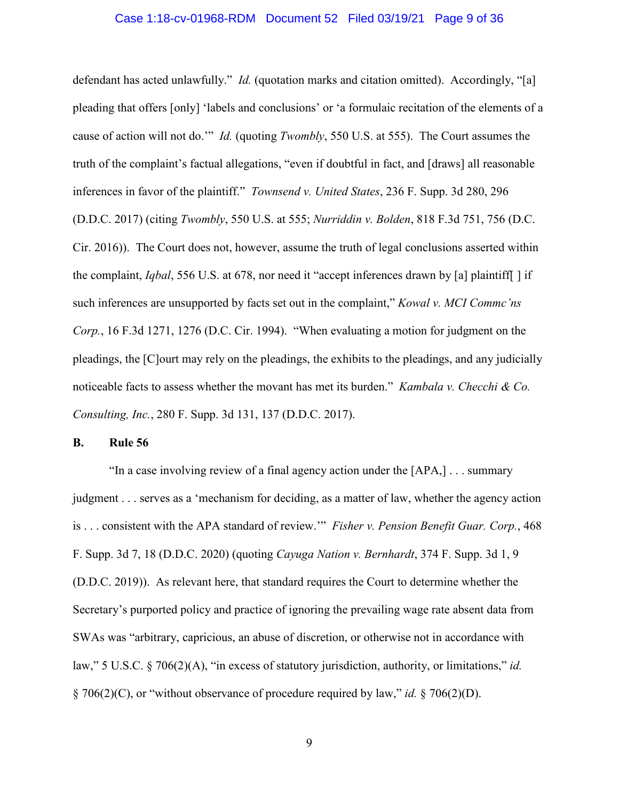### Case 1:18-cv-01968-RDM Document 52 Filed 03/19/21 Page 9 of 36

defendant has acted unlawfully." *Id.* (quotation marks and citation omitted). Accordingly, "[a] pleading that offers [only] 'labels and conclusions' or 'a formulaic recitation of the elements of a cause of action will not do.'" *Id.* (quoting *Twombly*, 550 U.S. at 555). The Court assumes the truth of the complaint's factual allegations, "even if doubtful in fact, and [draws] all reasonable inferences in favor of the plaintiff." *Townsend v. United States*, 236 F. Supp. 3d 280, 296 (D.D.C. 2017) (citing *Twombly*, 550 U.S. at 555; *Nurriddin v. Bolden*, 818 F.3d 751, 756 (D.C. Cir. 2016)). The Court does not, however, assume the truth of legal conclusions asserted within the complaint, *Iqbal*, 556 U.S. at 678, nor need it "accept inferences drawn by [a] plaintiff[ ] if such inferences are unsupported by facts set out in the complaint," *Kowal v. MCI Commc'ns Corp.*, 16 F.3d 1271, 1276 (D.C. Cir. 1994). "When evaluating a motion for judgment on the pleadings, the [C]ourt may rely on the pleadings, the exhibits to the pleadings, and any judicially noticeable facts to assess whether the movant has met its burden." *Kambala v. Checchi & Co. Consulting, Inc.*, 280 F. Supp. 3d 131, 137 (D.D.C. 2017).

### **B. Rule 56**

"In a case involving review of a final agency action under the [APA,] . . . summary judgment . . . serves as a 'mechanism for deciding, as a matter of law, whether the agency action is . . . consistent with the APA standard of review.'" *Fisher v. Pension Benefit Guar. Corp.*, 468 F. Supp. 3d 7, 18 (D.D.C. 2020) (quoting *Cayuga Nation v. Bernhardt*, 374 F. Supp. 3d 1, 9 (D.D.C. 2019)). As relevant here, that standard requires the Court to determine whether the Secretary's purported policy and practice of ignoring the prevailing wage rate absent data from SWAs was "arbitrary, capricious, an abuse of discretion, or otherwise not in accordance with law," 5 U.S.C. § 706(2)(A), "in excess of statutory jurisdiction, authority, or limitations," *id.* § 706(2)(C), or "without observance of procedure required by law," *id.* § 706(2)(D).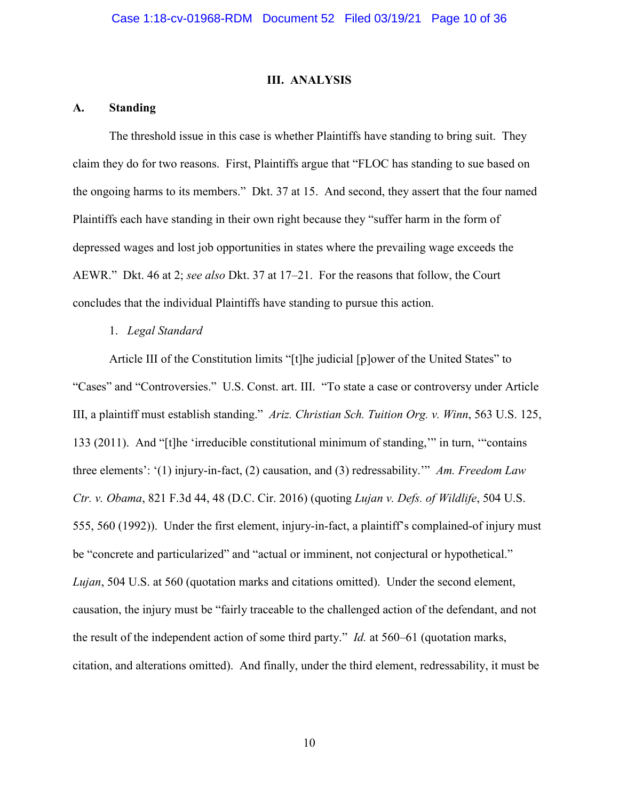### **III. ANALYSIS**

## **A. Standing**

The threshold issue in this case is whether Plaintiffs have standing to bring suit. They claim they do for two reasons. First, Plaintiffs argue that "FLOC has standing to sue based on the ongoing harms to its members." Dkt. 37 at 15. And second, they assert that the four named Plaintiffs each have standing in their own right because they "suffer harm in the form of depressed wages and lost job opportunities in states where the prevailing wage exceeds the AEWR." Dkt. 46 at 2; *see also* Dkt. 37 at 17–21. For the reasons that follow, the Court concludes that the individual Plaintiffs have standing to pursue this action.

### 1. *Legal Standard*

Article III of the Constitution limits "[t]he judicial [p]ower of the United States" to "Cases" and "Controversies." U.S. Const. art. III. "To state a case or controversy under Article III, a plaintiff must establish standing." *Ariz. Christian Sch. Tuition Org. v. Winn*, 563 U.S. 125, 133 (2011). And "[t]he 'irreducible constitutional minimum of standing,'" in turn, '"contains three elements': '(1) injury-in-fact, (2) causation, and (3) redressability.'" *Am. Freedom Law Ctr. v. Obama*, 821 F.3d 44, 48 (D.C. Cir. 2016) (quoting *Lujan v. Defs. of Wildlife*, 504 U.S. 555, 560 (1992)). Under the first element, injury-in-fact, a plaintiff's complained-of injury must be "concrete and particularized" and "actual or imminent, not conjectural or hypothetical." *Lujan*, 504 U.S. at 560 (quotation marks and citations omitted). Under the second element, causation, the injury must be "fairly traceable to the challenged action of the defendant, and not the result of the independent action of some third party." *Id.* at 560–61 (quotation marks, citation, and alterations omitted). And finally, under the third element, redressability, it must be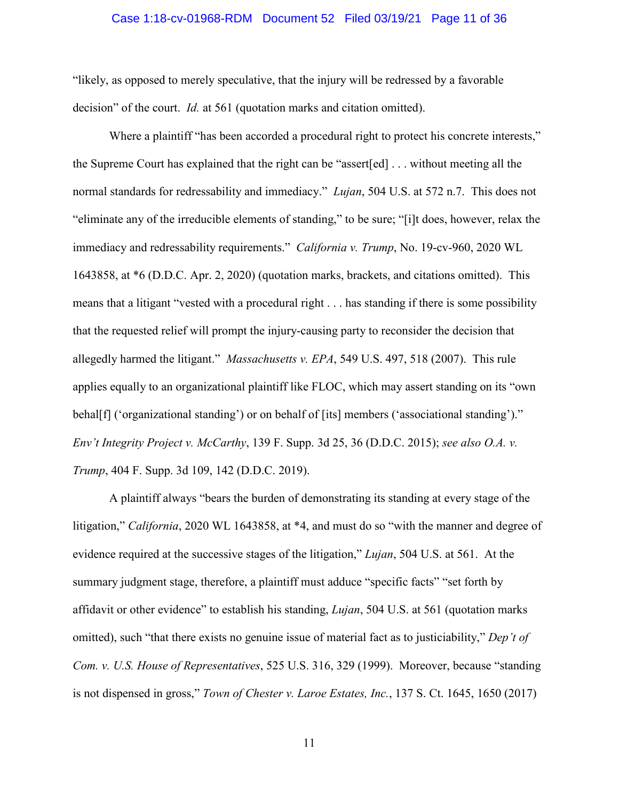### Case 1:18-cv-01968-RDM Document 52 Filed 03/19/21 Page 11 of 36

"likely, as opposed to merely speculative, that the injury will be redressed by a favorable decision" of the court. *Id.* at 561 (quotation marks and citation omitted).

Where a plaintiff "has been accorded a procedural right to protect his concrete interests," the Supreme Court has explained that the right can be "assert[ed] . . . without meeting all the normal standards for redressability and immediacy." *Lujan*, 504 U.S. at 572 n.7. This does not "eliminate any of the irreducible elements of standing," to be sure; "[i]t does, however, relax the immediacy and redressability requirements." *California v. Trump*, No. 19-cv-960, 2020 WL 1643858, at \*6 (D.D.C. Apr. 2, 2020) (quotation marks, brackets, and citations omitted). This means that a litigant "vested with a procedural right . . . has standing if there is some possibility that the requested relief will prompt the injury-causing party to reconsider the decision that allegedly harmed the litigant." *Massachusetts v. EPA*, 549 U.S. 497, 518 (2007). This rule applies equally to an organizational plaintiff like FLOC, which may assert standing on its "own behal[f] ('organizational standing') or on behalf of [its] members ('associational standing')." *Env't Integrity Project v. McCarthy*, 139 F. Supp. 3d 25, 36 (D.D.C. 2015); *see also O.A. v. Trump*, 404 F. Supp. 3d 109, 142 (D.D.C. 2019).

A plaintiff always "bears the burden of demonstrating its standing at every stage of the litigation," *California*, 2020 WL 1643858, at \*4, and must do so "with the manner and degree of evidence required at the successive stages of the litigation," *Lujan*, 504 U.S. at 561. At the summary judgment stage, therefore, a plaintiff must adduce "specific facts" "set forth by affidavit or other evidence" to establish his standing, *Lujan*, 504 U.S. at 561 (quotation marks omitted), such "that there exists no genuine issue of material fact as to justiciability," *Dep't of Com. v. U.S. House of Representatives*, 525 U.S. 316, 329 (1999). Moreover, because "standing is not dispensed in gross," *Town of Chester v. Laroe Estates, Inc.*, 137 S. Ct. 1645, 1650 (2017)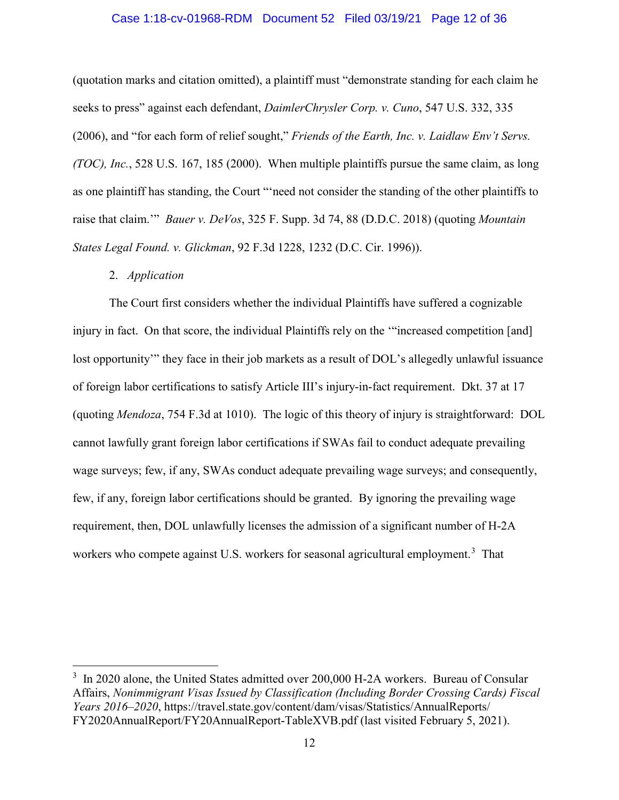### Case 1:18-cv-01968-RDM Document 52 Filed 03/19/21 Page 12 of 36

(quotation marks and citation omitted), a plaintiff must "demonstrate standing for each claim he seeks to press" against each defendant, *DaimlerChrysler Corp. v. Cuno*, 547 U.S. 332, 335 (2006), and "for each form of relief sought," *Friends of the Earth, Inc. v. Laidlaw Env't Servs. (TOC), Inc.*, 528 U.S. 167, 185 (2000). When multiple plaintiffs pursue the same claim, as long as one plaintiff has standing, the Court "'need not consider the standing of the other plaintiffs to raise that claim.'" *Bauer v. DeVos*, 325 F. Supp. 3d 74, 88 (D.D.C. 2018) (quoting *Mountain States Legal Found. v. Glickman*, 92 F.3d 1228, 1232 (D.C. Cir. 1996)).

## 2. *Application*

The Court first considers whether the individual Plaintiffs have suffered a cognizable injury in fact. On that score, the individual Plaintiffs rely on the '"increased competition [and] lost opportunity'" they face in their job markets as a result of DOL's allegedly unlawful issuance of foreign labor certifications to satisfy Article III's injury-in-fact requirement. Dkt. 37 at 17 (quoting *Mendoza*, 754 F.3d at 1010). The logic of this theory of injury is straightforward: DOL cannot lawfully grant foreign labor certifications if SWAs fail to conduct adequate prevailing wage surveys; few, if any, SWAs conduct adequate prevailing wage surveys; and consequently, few, if any, foreign labor certifications should be granted. By ignoring the prevailing wage requirement, then, DOL unlawfully licenses the admission of a significant number of H-2A workers who compete against U.S. workers for seasonal agricultural employment.<sup>[3](#page-11-0)</sup> That

<span id="page-11-0"></span> $\frac{1}{3}$  $3\,$  In 2020 alone, the United States admitted over 200,000 H-2A workers. Bureau of Consular Affairs, *Nonimmigrant Visas Issued by Classification (Including Border Crossing Cards) Fiscal Years 2016–2020*, https://travel.state.gov/content/dam/visas/Statistics/AnnualReports/ FY2020AnnualReport/FY20AnnualReport-TableXVB.pdf (last visited February 5, 2021).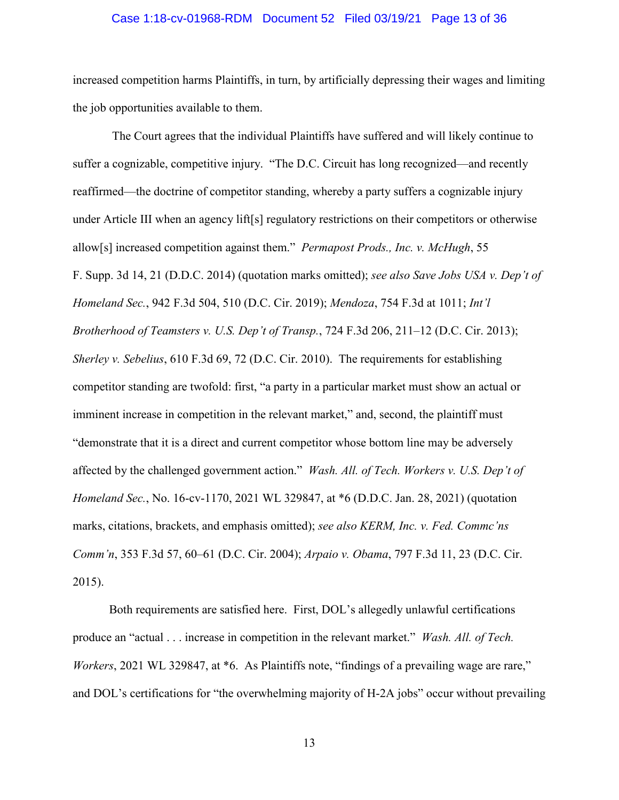### Case 1:18-cv-01968-RDM Document 52 Filed 03/19/21 Page 13 of 36

increased competition harms Plaintiffs, in turn, by artificially depressing their wages and limiting the job opportunities available to them.

The Court agrees that the individual Plaintiffs have suffered and will likely continue to suffer a cognizable, competitive injury. "The D.C. Circuit has long recognized—and recently reaffirmed—the doctrine of competitor standing, whereby a party suffers a cognizable injury under Article III when an agency lift[s] regulatory restrictions on their competitors or otherwise allow[s] increased competition against them." *Permapost Prods., Inc. v. McHugh*, 55 F. Supp. 3d 14, 21 (D.D.C. 2014) (quotation marks omitted); *see also Save Jobs USA v. Dep't of Homeland Sec.*, 942 F.3d 504, 510 (D.C. Cir. 2019); *Mendoza*, 754 F.3d at 1011; *Int'l Brotherhood of Teamsters v. U.S. Dep't of Transp.*, 724 F.3d 206, 211–12 (D.C. Cir. 2013); *Sherley v. Sebelius*, 610 F.3d 69, 72 (D.C. Cir. 2010). The requirements for establishing competitor standing are twofold: first, "a party in a particular market must show an actual or imminent increase in competition in the relevant market," and, second, the plaintiff must "demonstrate that it is a direct and current competitor whose bottom line may be adversely affected by the challenged government action." *Wash. All. of Tech. Workers v. U.S. Dep't of Homeland Sec.*, No. 16-cv-1170, 2021 WL 329847, at \*6 (D.D.C. Jan. 28, 2021) (quotation marks, citations, brackets, and emphasis omitted); *see also KERM, Inc. v. Fed. Commc'ns Comm'n*, 353 F.3d 57, 60–61 (D.C. Cir. 2004); *Arpaio v. Obama*, 797 F.3d 11, 23 (D.C. Cir. 2015).

Both requirements are satisfied here. First, DOL's allegedly unlawful certifications produce an "actual . . . increase in competition in the relevant market." *Wash. All. of Tech. Workers*, 2021 WL 329847, at \*6. As Plaintiffs note, "findings of a prevailing wage are rare," and DOL's certifications for "the overwhelming majority of H-2A jobs" occur without prevailing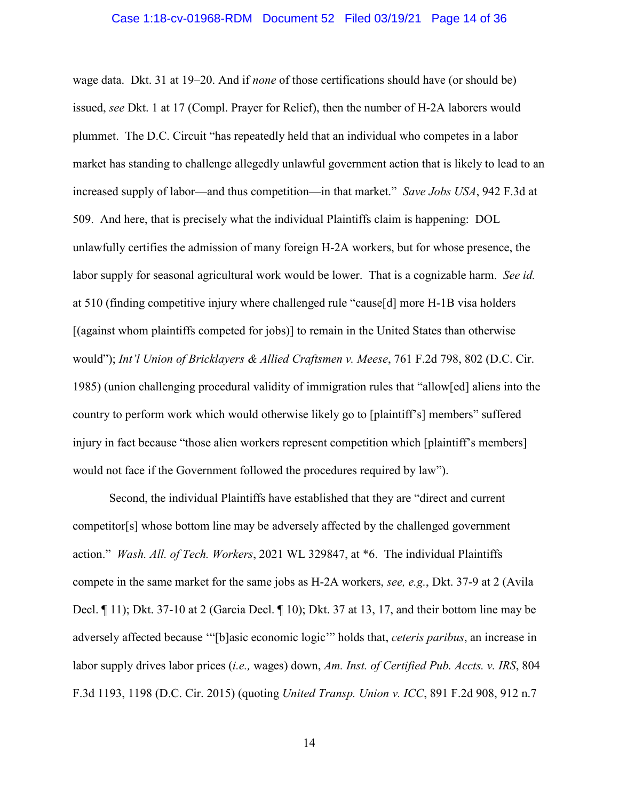### Case 1:18-cv-01968-RDM Document 52 Filed 03/19/21 Page 14 of 36

wage data. Dkt. 31 at 19–20. And if *none* of those certifications should have (or should be) issued, *see* Dkt. 1 at 17 (Compl. Prayer for Relief), then the number of H-2A laborers would plummet. The D.C. Circuit "has repeatedly held that an individual who competes in a labor market has standing to challenge allegedly unlawful government action that is likely to lead to an increased supply of labor—and thus competition—in that market." *Save Jobs USA*, 942 F.3d at 509. And here, that is precisely what the individual Plaintiffs claim is happening: DOL unlawfully certifies the admission of many foreign H-2A workers, but for whose presence, the labor supply for seasonal agricultural work would be lower. That is a cognizable harm. *See id.* at 510 (finding competitive injury where challenged rule "cause[d] more H-1B visa holders [(against whom plaintiffs competed for jobs)] to remain in the United States than otherwise would"); *Int'l Union of Bricklayers & Allied Craftsmen v. Meese*, 761 F.2d 798, 802 (D.C. Cir. 1985) (union challenging procedural validity of immigration rules that "allow[ed] aliens into the country to perform work which would otherwise likely go to [plaintiff's] members" suffered injury in fact because "those alien workers represent competition which [plaintiff's members] would not face if the Government followed the procedures required by law").

Second, the individual Plaintiffs have established that they are "direct and current competitor[s] whose bottom line may be adversely affected by the challenged government action." *Wash. All. of Tech. Workers*, 2021 WL 329847, at \*6. The individual Plaintiffs compete in the same market for the same jobs as H-2A workers, *see, e.g.*, Dkt. 37-9 at 2 (Avila Decl. ¶ 11); Dkt. 37-10 at 2 (Garcia Decl. ¶ 10); Dkt. 37 at 13, 17, and their bottom line may be adversely affected because '"[b]asic economic logic'" holds that, *ceteris paribus*, an increase in labor supply drives labor prices (*i.e.,* wages) down, *Am. Inst. of Certified Pub. Accts. v. IRS*, 804 F.3d 1193, 1198 (D.C. Cir. 2015) (quoting *United Transp. Union v. ICC*, 891 F.2d 908, 912 n.7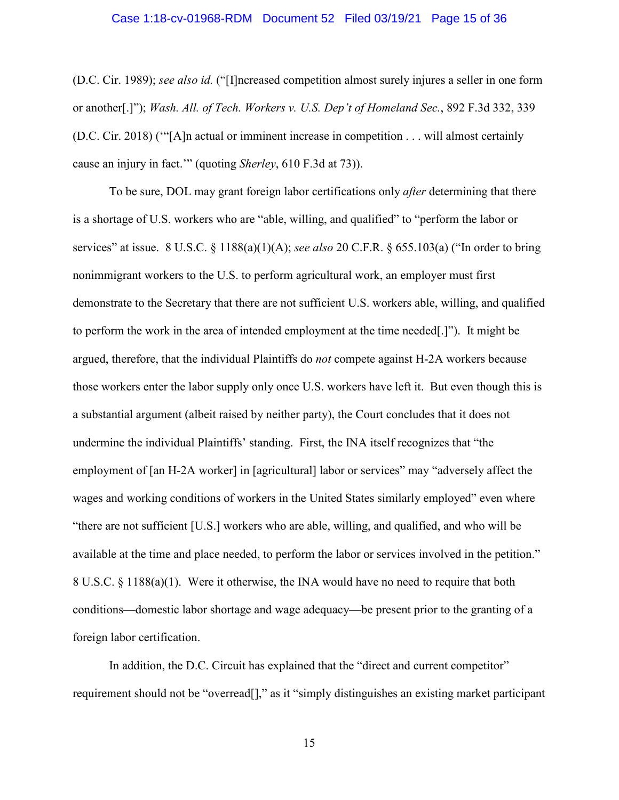### Case 1:18-cv-01968-RDM Document 52 Filed 03/19/21 Page 15 of 36

(D.C. Cir. 1989); *see also id.* ("[I]ncreased competition almost surely injures a seller in one form or another[.]"); *Wash. All. of Tech. Workers v. U.S. Dep't of Homeland Sec.*, 892 F.3d 332, 339 (D.C. Cir. 2018) ('"[A]n actual or imminent increase in competition . . . will almost certainly cause an injury in fact.'" (quoting *Sherley*, 610 F.3d at 73)).

To be sure, DOL may grant foreign labor certifications only *after* determining that there is a shortage of U.S. workers who are "able, willing, and qualified" to "perform the labor or services" at issue. 8 U.S.C. § 1188(a)(1)(A); *see also* 20 C.F.R. § 655.103(a) ("In order to bring nonimmigrant workers to the U.S. to perform agricultural work, an employer must first demonstrate to the Secretary that there are not sufficient U.S. workers able, willing, and qualified to perform the work in the area of intended employment at the time needed[.]"). It might be argued, therefore, that the individual Plaintiffs do *not* compete against H-2A workers because those workers enter the labor supply only once U.S. workers have left it. But even though this is a substantial argument (albeit raised by neither party), the Court concludes that it does not undermine the individual Plaintiffs' standing. First, the INA itself recognizes that "the employment of [an H-2A worker] in [agricultural] labor or services" may "adversely affect the wages and working conditions of workers in the United States similarly employed" even where "there are not sufficient [U.S.] workers who are able, willing, and qualified, and who will be available at the time and place needed, to perform the labor or services involved in the petition." 8 U.S.C. § 1188(a)(1). Were it otherwise, the INA would have no need to require that both conditions—domestic labor shortage and wage adequacy—be present prior to the granting of a foreign labor certification.

In addition, the D.C. Circuit has explained that the "direct and current competitor" requirement should not be "overread[]," as it "simply distinguishes an existing market participant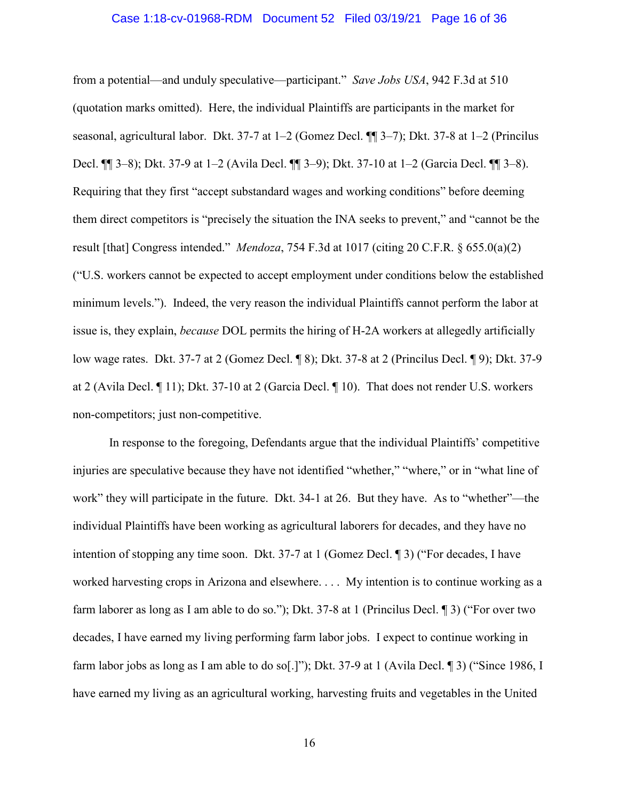### Case 1:18-cv-01968-RDM Document 52 Filed 03/19/21 Page 16 of 36

from a potential—and unduly speculative—participant." *Save Jobs USA*, 942 F.3d at 510 (quotation marks omitted). Here, the individual Plaintiffs are participants in the market for seasonal, agricultural labor. Dkt. 37-7 at 1–2 (Gomez Decl. ¶¶ 3–7); Dkt. 37-8 at 1–2 (Princilus Decl. ¶¶ 3–8); Dkt. 37-9 at 1–2 (Avila Decl. ¶¶ 3–9); Dkt. 37-10 at 1–2 (Garcia Decl. ¶¶ 3–8). Requiring that they first "accept substandard wages and working conditions" before deeming them direct competitors is "precisely the situation the INA seeks to prevent," and "cannot be the result [that] Congress intended." *Mendoza*, 754 F.3d at 1017 (citing 20 C.F.R. § 655.0(a)(2) ("U.S. workers cannot be expected to accept employment under conditions below the established minimum levels."). Indeed, the very reason the individual Plaintiffs cannot perform the labor at issue is, they explain, *because* DOL permits the hiring of H-2A workers at allegedly artificially low wage rates. Dkt. 37-7 at 2 (Gomez Decl. ¶ 8); Dkt. 37-8 at 2 (Princilus Decl. ¶ 9); Dkt. 37-9 at 2 (Avila Decl. ¶ 11); Dkt. 37-10 at 2 (Garcia Decl. ¶ 10). That does not render U.S. workers non-competitors; just non-competitive.

In response to the foregoing, Defendants argue that the individual Plaintiffs' competitive injuries are speculative because they have not identified "whether," "where," or in "what line of work" they will participate in the future. Dkt. 34-1 at 26. But they have. As to "whether"—the individual Plaintiffs have been working as agricultural laborers for decades, and they have no intention of stopping any time soon. Dkt. 37-7 at 1 (Gomez Decl. ¶ 3) ("For decades, I have worked harvesting crops in Arizona and elsewhere. . . . My intention is to continue working as a farm laborer as long as I am able to do so."); Dkt. 37-8 at 1 (Princilus Decl. ¶ 3) ("For over two decades, I have earned my living performing farm labor jobs. I expect to continue working in farm labor jobs as long as I am able to do so[.]"); Dkt. 37-9 at 1 (Avila Decl. ¶ 3) ("Since 1986, I have earned my living as an agricultural working, harvesting fruits and vegetables in the United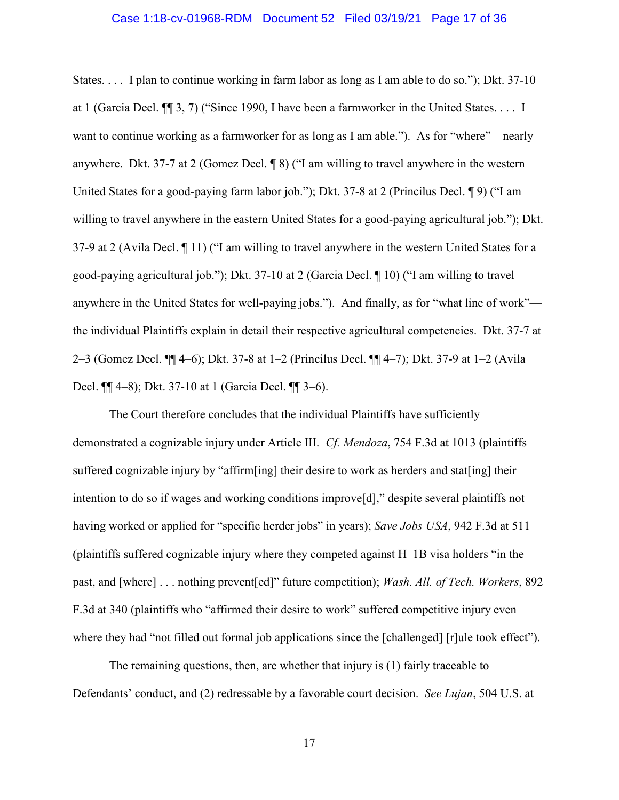### Case 1:18-cv-01968-RDM Document 52 Filed 03/19/21 Page 17 of 36

States. . . . I plan to continue working in farm labor as long as I am able to do so."); Dkt. 37-10 at 1 (Garcia Decl. ¶¶ 3, 7) ("Since 1990, I have been a farmworker in the United States. . . . I want to continue working as a farmworker for as long as I am able."). As for "where"—nearly anywhere. Dkt. 37-7 at 2 (Gomez Decl. ¶ 8) ("I am willing to travel anywhere in the western United States for a good-paying farm labor job."); Dkt. 37-8 at 2 (Princilus Decl. ¶ 9) ("I am willing to travel anywhere in the eastern United States for a good-paying agricultural job."); Dkt. 37-9 at 2 (Avila Decl. ¶ 11) ("I am willing to travel anywhere in the western United States for a good-paying agricultural job."); Dkt. 37-10 at 2 (Garcia Decl. ¶ 10) ("I am willing to travel anywhere in the United States for well-paying jobs."). And finally, as for "what line of work" the individual Plaintiffs explain in detail their respective agricultural competencies. Dkt. 37-7 at 2–3 (Gomez Decl. ¶¶ 4–6); Dkt. 37-8 at 1–2 (Princilus Decl. ¶¶ 4–7); Dkt. 37-9 at 1–2 (Avila Decl. ¶¶ 4–8); Dkt. 37-10 at 1 (Garcia Decl. ¶¶ 3–6).

The Court therefore concludes that the individual Plaintiffs have sufficiently demonstrated a cognizable injury under Article III. *Cf. Mendoza*, 754 F.3d at 1013 (plaintiffs suffered cognizable injury by "affirm[ing] their desire to work as herders and stat[ing] their intention to do so if wages and working conditions improve[d]," despite several plaintiffs not having worked or applied for "specific herder jobs" in years); *Save Jobs USA*, 942 F.3d at 511 (plaintiffs suffered cognizable injury where they competed against H–1B visa holders "in the past, and [where] . . . nothing prevent[ed]" future competition); *Wash. All. of Tech. Workers*, 892 F.3d at 340 (plaintiffs who "affirmed their desire to work" suffered competitive injury even where they had "not filled out formal job applications since the [challenged] [r]ule took effect").

The remaining questions, then, are whether that injury is (1) fairly traceable to Defendants' conduct, and (2) redressable by a favorable court decision. *See Lujan*, 504 U.S. at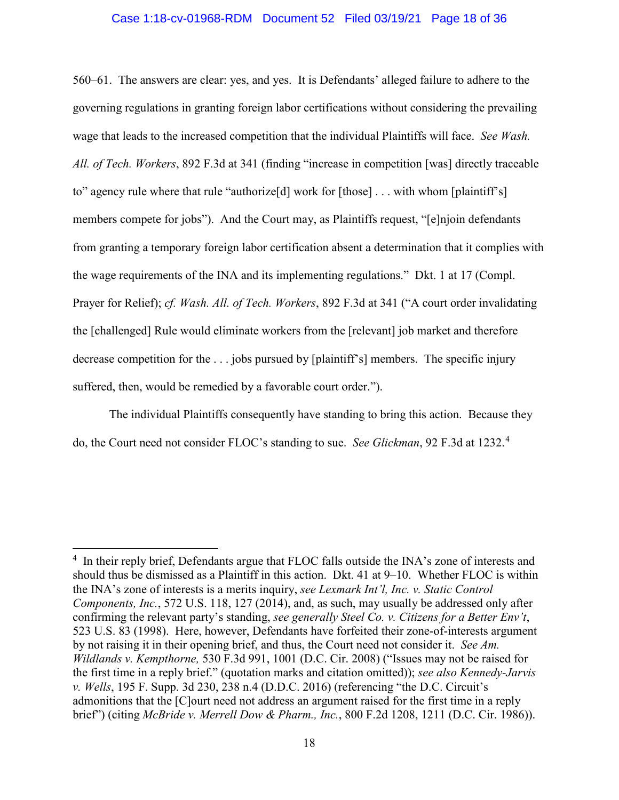### Case 1:18-cv-01968-RDM Document 52 Filed 03/19/21 Page 18 of 36

560–61. The answers are clear: yes, and yes. It is Defendants' alleged failure to adhere to the governing regulations in granting foreign labor certifications without considering the prevailing wage that leads to the increased competition that the individual Plaintiffs will face. *See Wash. All. of Tech. Workers*, 892 F.3d at 341 (finding "increase in competition [was] directly traceable to" agency rule where that rule "authorize[d] work for [those] . . . with whom [plaintiff's] members compete for jobs"). And the Court may, as Plaintiffs request, "[e]njoin defendants from granting a temporary foreign labor certification absent a determination that it complies with the wage requirements of the INA and its implementing regulations." Dkt. 1 at 17 (Compl. Prayer for Relief); *cf. Wash. All. of Tech. Workers*, 892 F.3d at 341 ("A court order invalidating the [challenged] Rule would eliminate workers from the [relevant] job market and therefore decrease competition for the . . . jobs pursued by [plaintiff's] members. The specific injury suffered, then, would be remedied by a favorable court order.").

The individual Plaintiffs consequently have standing to bring this action. Because they do, the Court need not consider FLOC's standing to sue. *See Glickman*, 92 F.3d at 1232. [4](#page-17-0)

<span id="page-17-0"></span> $\frac{1}{4}$  $\frac{4}{1}$  In their reply brief, Defendants argue that FLOC falls outside the INA's zone of interests and should thus be dismissed as a Plaintiff in this action. Dkt. 41 at 9–10. Whether FLOC is within the INA's zone of interests is a merits inquiry, *see Lexmark Int'l, Inc. v. Static Control Components, Inc.*, 572 U.S. 118, 127 (2014), and, as such, may usually be addressed only after confirming the relevant party's standing, *see generally Steel Co. v. Citizens for a Better Env't*, 523 U.S. 83 (1998). Here, however, Defendants have forfeited their zone-of-interests argument by not raising it in their opening brief, and thus, the Court need not consider it. *See Am. Wildlands v. Kempthorne,* 530 F.3d 991, 1001 (D.C. Cir. 2008) ("Issues may not be raised for the first time in a reply brief." (quotation marks and citation omitted)); *see also Kennedy-Jarvis v. Wells*, 195 F. Supp. 3d 230, 238 n.4 (D.D.C. 2016) (referencing "the D.C. Circuit's admonitions that the [C]ourt need not address an argument raised for the first time in a reply brief") (citing *McBride v. Merrell Dow & Pharm., Inc.*, 800 F.2d 1208, 1211 (D.C. Cir. 1986)).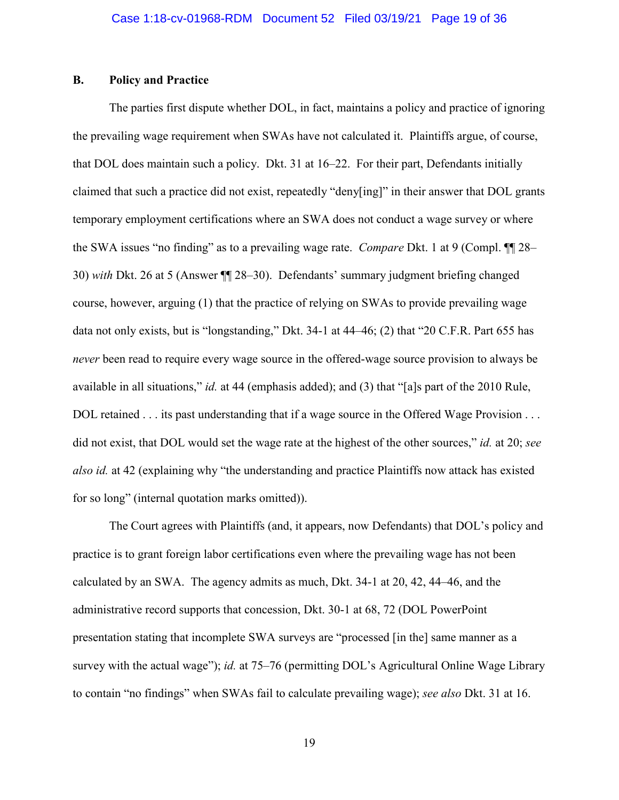# **B. Policy and Practice**

The parties first dispute whether DOL, in fact, maintains a policy and practice of ignoring the prevailing wage requirement when SWAs have not calculated it. Plaintiffs argue, of course, that DOL does maintain such a policy. Dkt. 31 at 16–22. For their part, Defendants initially claimed that such a practice did not exist, repeatedly "deny[ing]" in their answer that DOL grants temporary employment certifications where an SWA does not conduct a wage survey or where the SWA issues "no finding" as to a prevailing wage rate. *Compare* Dkt. 1 at 9 (Compl. ¶¶ 28– 30) *with* Dkt. 26 at 5 (Answer ¶¶ 28–30). Defendants' summary judgment briefing changed course, however, arguing (1) that the practice of relying on SWAs to provide prevailing wage data not only exists, but is "longstanding," Dkt. 34-1 at 44–46; (2) that "20 C.F.R. Part 655 has *never* been read to require every wage source in the offered-wage source provision to always be available in all situations," *id.* at 44 (emphasis added); and (3) that "[a]s part of the 2010 Rule, DOL retained . . . its past understanding that if a wage source in the Offered Wage Provision . . . did not exist, that DOL would set the wage rate at the highest of the other sources," *id.* at 20; *see also id.* at 42 (explaining why "the understanding and practice Plaintiffs now attack has existed for so long" (internal quotation marks omitted)).

The Court agrees with Plaintiffs (and, it appears, now Defendants) that DOL's policy and practice is to grant foreign labor certifications even where the prevailing wage has not been calculated by an SWA. The agency admits as much, Dkt. 34-1 at 20, 42, 44–46, and the administrative record supports that concession, Dkt. 30-1 at 68, 72 (DOL PowerPoint presentation stating that incomplete SWA surveys are "processed [in the] same manner as a survey with the actual wage"); *id.* at 75–76 (permitting DOL's Agricultural Online Wage Library to contain "no findings" when SWAs fail to calculate prevailing wage); *see also* Dkt. 31 at 16.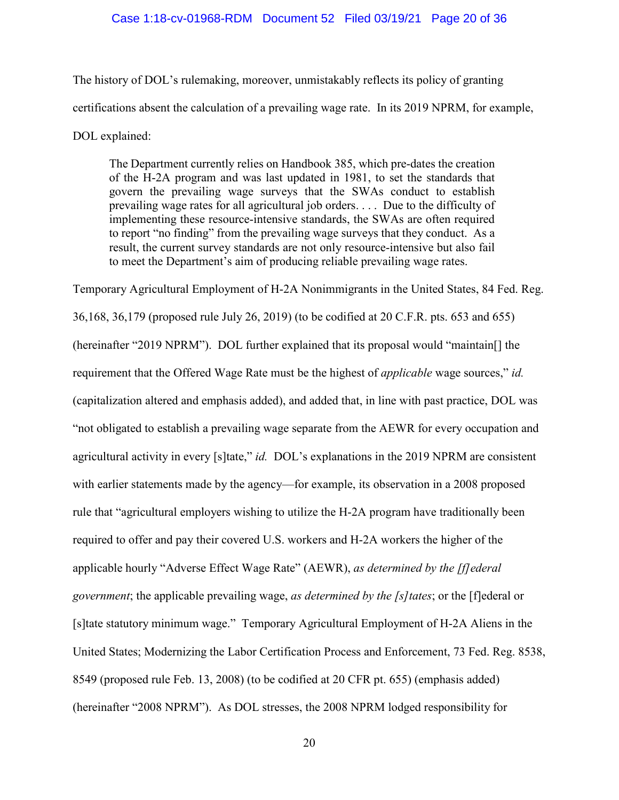### Case 1:18-cv-01968-RDM Document 52 Filed 03/19/21 Page 20 of 36

The history of DOL's rulemaking, moreover, unmistakably reflects its policy of granting certifications absent the calculation of a prevailing wage rate. In its 2019 NPRM, for example, DOL explained:

The Department currently relies on Handbook 385, which pre-dates the creation of the H-2A program and was last updated in 1981, to set the standards that govern the prevailing wage surveys that the SWAs conduct to establish prevailing wage rates for all agricultural job orders. . . . Due to the difficulty of implementing these resource-intensive standards, the SWAs are often required to report "no finding" from the prevailing wage surveys that they conduct. As a result, the current survey standards are not only resource-intensive but also fail to meet the Department's aim of producing reliable prevailing wage rates.

Temporary Agricultural Employment of H-2A Nonimmigrants in the United States, 84 Fed. Reg. 36,168, 36,179 (proposed rule July 26, 2019) (to be codified at 20 C.F.R. pts. 653 and 655) (hereinafter "2019 NPRM"). DOL further explained that its proposal would "maintain[] the requirement that the Offered Wage Rate must be the highest of *applicable* wage sources," *id.* (capitalization altered and emphasis added), and added that, in line with past practice, DOL was "not obligated to establish a prevailing wage separate from the AEWR for every occupation and agricultural activity in every [s]tate," *id.* DOL's explanations in the 2019 NPRM are consistent with earlier statements made by the agency—for example, its observation in a 2008 proposed rule that "agricultural employers wishing to utilize the H-2A program have traditionally been required to offer and pay their covered U.S. workers and H-2A workers the higher of the applicable hourly "Adverse Effect Wage Rate" (AEWR), *as determined by the [f]ederal government*; the applicable prevailing wage, *as determined by the [s]tates*; or the [f]ederal or [s]tate statutory minimum wage." Temporary Agricultural Employment of H-2A Aliens in the United States; Modernizing the Labor Certification Process and Enforcement, 73 Fed. Reg. 8538, 8549 (proposed rule Feb. 13, 2008) (to be codified at 20 CFR pt. 655) (emphasis added) (hereinafter "2008 NPRM"). As DOL stresses, the 2008 NPRM lodged responsibility for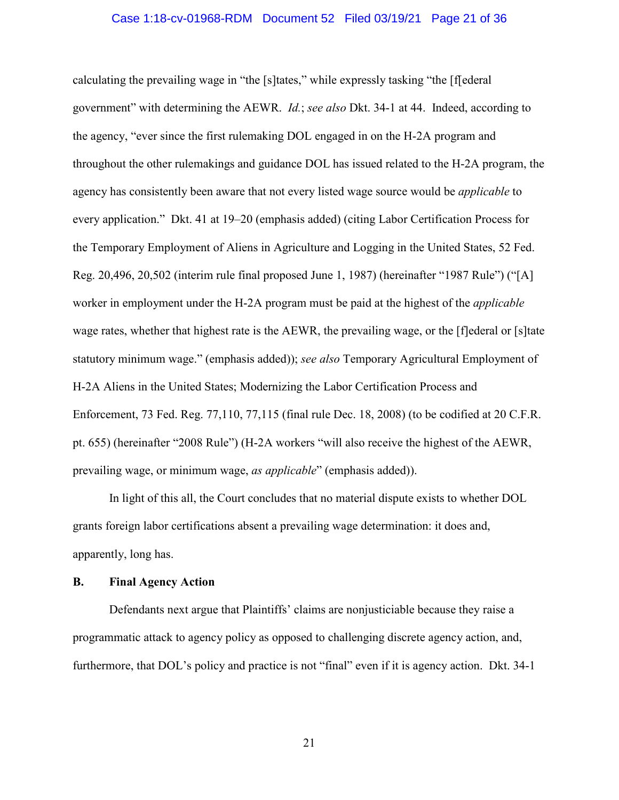### Case 1:18-cv-01968-RDM Document 52 Filed 03/19/21 Page 21 of 36

calculating the prevailing wage in "the [s]tates," while expressly tasking "the [f[ederal government" with determining the AEWR. *Id.*; *see also* Dkt. 34-1 at 44. Indeed, according to the agency, "ever since the first rulemaking DOL engaged in on the H-2A program and throughout the other rulemakings and guidance DOL has issued related to the H-2A program, the agency has consistently been aware that not every listed wage source would be *applicable* to every application." Dkt. 41 at 19–20 (emphasis added) (citing Labor Certification Process for the Temporary Employment of Aliens in Agriculture and Logging in the United States, 52 Fed. Reg. 20,496, 20,502 (interim rule final proposed June 1, 1987) (hereinafter "1987 Rule") ("[A] worker in employment under the H-2A program must be paid at the highest of the *applicable* wage rates, whether that highest rate is the AEWR, the prevailing wage, or the [f]ederal or [s]tate statutory minimum wage." (emphasis added)); *see also* Temporary Agricultural Employment of H-2A Aliens in the United States; Modernizing the Labor Certification Process and Enforcement, 73 Fed. Reg. 77,110, 77,115 (final rule Dec. 18, 2008) (to be codified at 20 C.F.R. pt. 655) (hereinafter "2008 Rule") (H-2A workers "will also receive the highest of the AEWR, prevailing wage, or minimum wage, *as applicable*" (emphasis added)).

In light of this all, the Court concludes that no material dispute exists to whether DOL grants foreign labor certifications absent a prevailing wage determination: it does and, apparently, long has.

## **B. Final Agency Action**

Defendants next argue that Plaintiffs' claims are nonjusticiable because they raise a programmatic attack to agency policy as opposed to challenging discrete agency action, and, furthermore, that DOL's policy and practice is not "final" even if it is agency action. Dkt. 34-1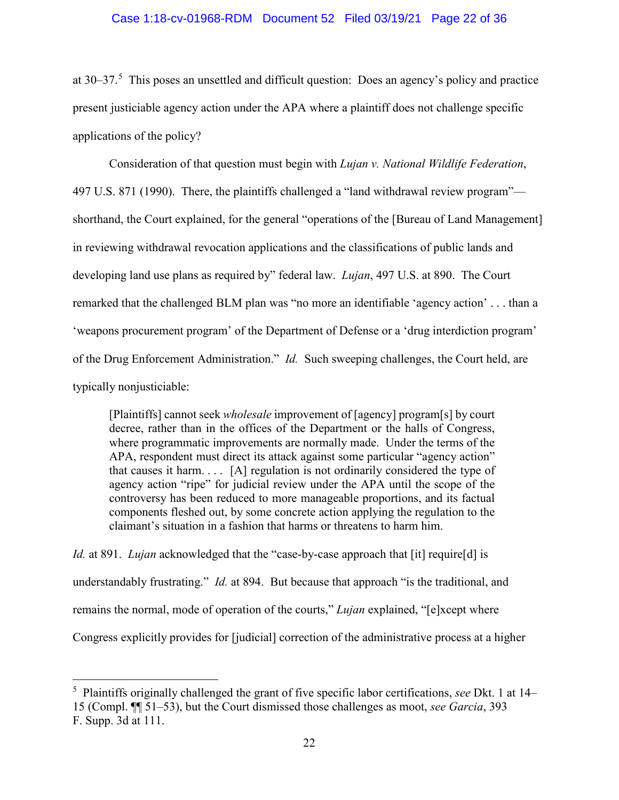### Case 1:18-cv-01968-RDM Document 52 Filed 03/19/21 Page 22 of 36

at 30–37. [5](#page-21-0) This poses an unsettled and difficult question: Does an agency's policy and practice present justiciable agency action under the APA where a plaintiff does not challenge specific applications of the policy?

Consideration of that question must begin with *Lujan v. National Wildlife Federation*, 497 U.S. 871 (1990). There, the plaintiffs challenged a "land withdrawal review program" shorthand, the Court explained, for the general "operations of the [Bureau of Land Management] in reviewing withdrawal revocation applications and the classifications of public lands and developing land use plans as required by" federal law. *Lujan*, 497 U.S. at 890. The Court remarked that the challenged BLM plan was "no more an identifiable 'agency action' . . . than a 'weapons procurement program' of the Department of Defense or a 'drug interdiction program' of the Drug Enforcement Administration." *Id.* Such sweeping challenges, the Court held, are typically nonjusticiable:

[Plaintiffs] cannot seek *wholesale* improvement of [agency] program[s] by court decree, rather than in the offices of the Department or the halls of Congress, where programmatic improvements are normally made. Under the terms of the APA, respondent must direct its attack against some particular "agency action" that causes it harm.  $\ldots$  [A] regulation is not ordinarily considered the type of agency action "ripe" for judicial review under the APA until the scope of the controversy has been reduced to more manageable proportions, and its factual components fleshed out, by some concrete action applying the regulation to the claimant's situation in a fashion that harms or threatens to harm him.

*Id.* at 891. *Lujan* acknowledged that the "case-by-case approach that [it] require[d] is understandably frustrating." *Id.* at 894. But because that approach "is the traditional, and remains the normal, mode of operation of the courts," *Lujan* explained, "[e]xcept where Congress explicitly provides for [judicial] correction of the administrative process at a higher

<span id="page-21-0"></span> $\frac{1}{5}$  Plaintiffs originally challenged the grant of five specific labor certifications, *see* Dkt. 1 at 14– 15 (Compl. ¶¶ 51–53), but the Court dismissed those challenges as moot, *see Garcia*, 393 F. Supp. 3d at 111.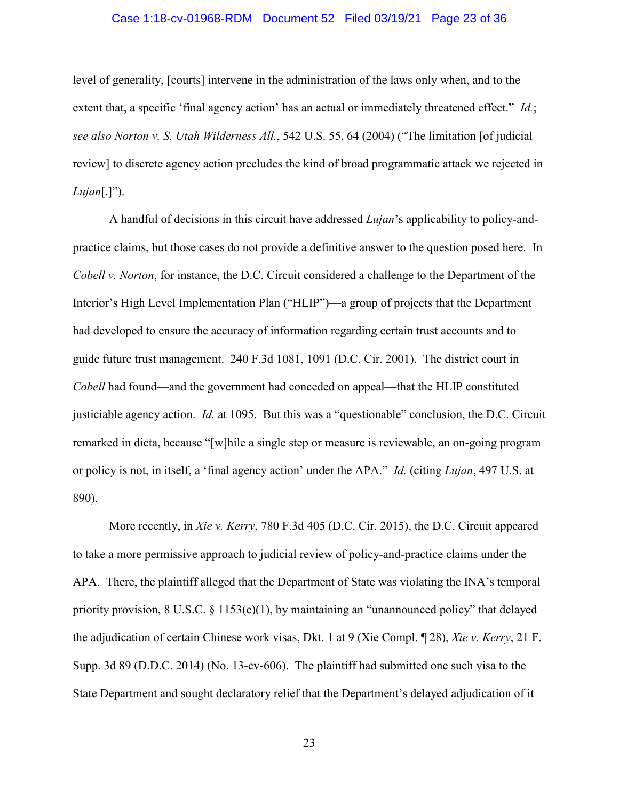### Case 1:18-cv-01968-RDM Document 52 Filed 03/19/21 Page 23 of 36

level of generality, [courts] intervene in the administration of the laws only when, and to the extent that, a specific 'final agency action' has an actual or immediately threatened effect." *Id.*; *see also Norton v. S. Utah Wilderness All.*, 542 U.S. 55, 64 (2004) ("The limitation [of judicial review] to discrete agency action precludes the kind of broad programmatic attack we rejected in *Lujan*[.]").

A handful of decisions in this circuit have addressed *Lujan*'s applicability to policy-andpractice claims, but those cases do not provide a definitive answer to the question posed here. In *Cobell v. Norton*, for instance, the D.C. Circuit considered a challenge to the Department of the Interior's High Level Implementation Plan ("HLIP")—a group of projects that the Department had developed to ensure the accuracy of information regarding certain trust accounts and to guide future trust management. 240 F.3d 1081, 1091 (D.C. Cir. 2001). The district court in *Cobell* had found—and the government had conceded on appeal—that the HLIP constituted justiciable agency action. *Id.* at 1095. But this was a "questionable" conclusion, the D.C. Circuit remarked in dicta, because "[w]hile a single step or measure is reviewable, an on-going program or policy is not, in itself, a 'final agency action' under the APA." *Id.* (citing *Lujan*, 497 U.S. at 890).

More recently, in *Xie v. Kerry*, 780 F.3d 405 (D.C. Cir. 2015), the D.C. Circuit appeared to take a more permissive approach to judicial review of policy-and-practice claims under the APA. There, the plaintiff alleged that the Department of State was violating the INA's temporal priority provision, 8 U.S.C. § 1153(e)(1), by maintaining an "unannounced policy" that delayed the adjudication of certain Chinese work visas, Dkt. 1 at 9 (Xie Compl. ¶ 28), *Xie v. Kerry*, 21 F. Supp. 3d 89 (D.D.C. 2014) (No. 13-cv-606). The plaintiff had submitted one such visa to the State Department and sought declaratory relief that the Department's delayed adjudication of it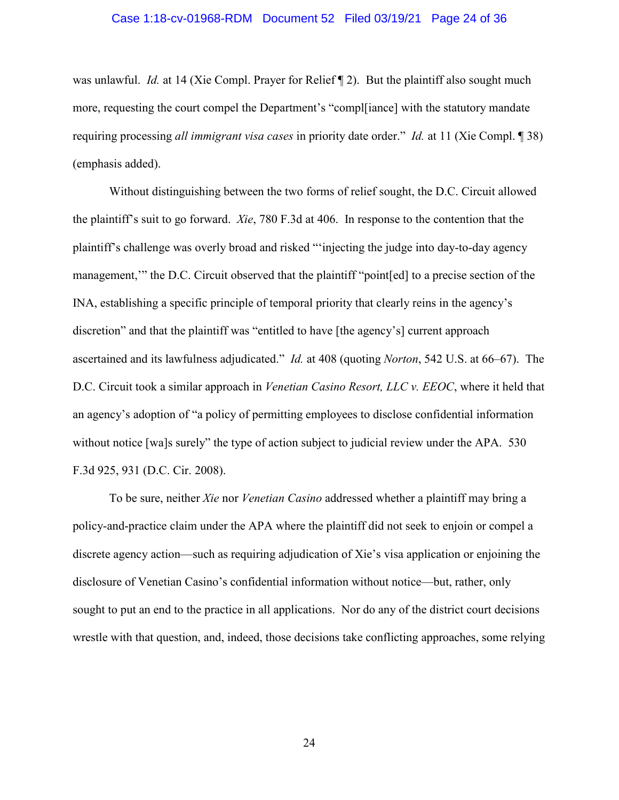### Case 1:18-cv-01968-RDM Document 52 Filed 03/19/21 Page 24 of 36

was unlawful. *Id.* at 14 (Xie Compl. Prayer for Relief ¶ 2). But the plaintiff also sought much more, requesting the court compel the Department's "compl[iance] with the statutory mandate requiring processing *all immigrant visa cases* in priority date order." *Id.* at 11 (Xie Compl. ¶ 38) (emphasis added).

Without distinguishing between the two forms of relief sought, the D.C. Circuit allowed the plaintiff's suit to go forward. *Xie*, 780 F.3d at 406. In response to the contention that the plaintiff's challenge was overly broad and risked "'injecting the judge into day-to-day agency management,'" the D.C. Circuit observed that the plaintiff "point[ed] to a precise section of the INA, establishing a specific principle of temporal priority that clearly reins in the agency's discretion" and that the plaintiff was "entitled to have [the agency's] current approach ascertained and its lawfulness adjudicated." *Id.* at 408 (quoting *Norton*, 542 U.S. at 66–67). The D.C. Circuit took a similar approach in *Venetian Casino Resort, LLC v. EEOC*, where it held that an agency's adoption of "a policy of permitting employees to disclose confidential information without notice [wa]s surely" the type of action subject to judicial review under the APA. 530 F.3d 925, 931 (D.C. Cir. 2008).

To be sure, neither *Xie* nor *Venetian Casino* addressed whether a plaintiff may bring a policy-and-practice claim under the APA where the plaintiff did not seek to enjoin or compel a discrete agency action—such as requiring adjudication of Xie's visa application or enjoining the disclosure of Venetian Casino's confidential information without notice—but, rather, only sought to put an end to the practice in all applications. Nor do any of the district court decisions wrestle with that question, and, indeed, those decisions take conflicting approaches, some relying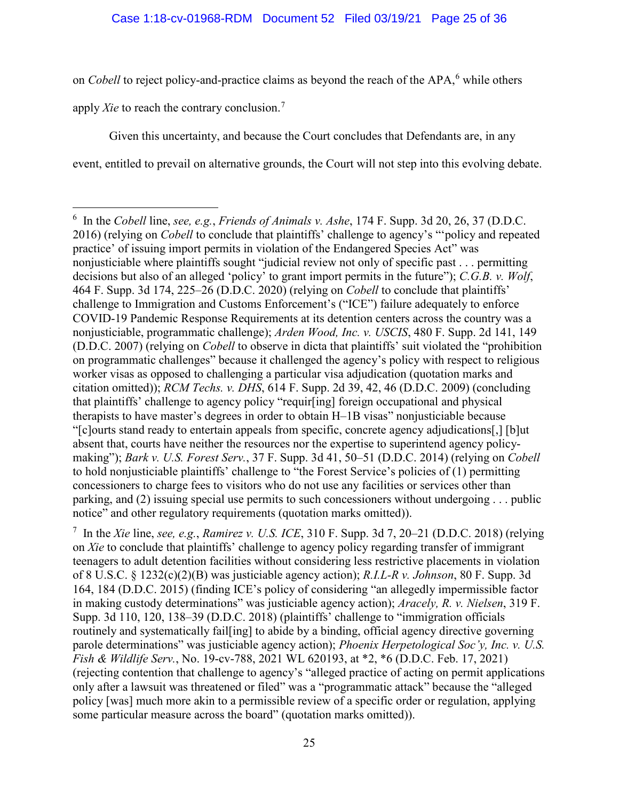on *Cobell* to reject policy-and-practice claims as beyond the reach of the APA,<sup>[6](#page-24-0)</sup> while others

apply *Xie* to reach the contrary conclusion.[7](#page-24-1)

Given this uncertainty, and because the Court concludes that Defendants are, in any event, entitled to prevail on alternative grounds, the Court will not step into this evolving debate.

<span id="page-24-1"></span>7 In the *Xie* line, *see, e.g.*, *Ramirez v. U.S. ICE*, 310 F. Supp. 3d 7, 20–21 (D.D.C. 2018) (relying on *Xie* to conclude that plaintiffs' challenge to agency policy regarding transfer of immigrant teenagers to adult detention facilities without considering less restrictive placements in violation of 8 U.S.C. § 1232(c)(2)(B) was justiciable agency action); *R.I.L-R v. Johnson*, 80 F. Supp. 3d 164, 184 (D.D.C. 2015) (finding ICE's policy of considering "an allegedly impermissible factor in making custody determinations" was justiciable agency action); *Aracely, R. v. Nielsen*, 319 F. Supp. 3d 110, 120, 138–39 (D.D.C. 2018) (plaintiffs' challenge to "immigration officials routinely and systematically fail[ing] to abide by a binding, official agency directive governing parole determinations" was justiciable agency action); *Phoenix Herpetological Soc'y, Inc. v. U.S. Fish & Wildlife Serv.*, No. 19-cv-788, 2021 WL 620193, at \*2, \*6 (D.D.C. Feb. 17, 2021) (rejecting contention that challenge to agency's "alleged practice of acting on permit applications only after a lawsuit was threatened or filed" was a "programmatic attack" because the "alleged policy [was] much more akin to a permissible review of a specific order or regulation, applying some particular measure across the board" (quotation marks omitted)).

<span id="page-24-0"></span> <sup>6</sup> In the *Cobell* line, *see, e.g.*, *Friends of Animals v. Ashe*, 174 F. Supp. 3d 20, 26, 37 (D.D.C. 2016) (relying on *Cobell* to conclude that plaintiffs' challenge to agency's "'policy and repeated practice' of issuing import permits in violation of the Endangered Species Act" was nonjusticiable where plaintiffs sought "judicial review not only of specific past . . . permitting decisions but also of an alleged 'policy' to grant import permits in the future"); *C.G.B. v. Wolf*, 464 F. Supp. 3d 174, 225–26 (D.D.C. 2020) (relying on *Cobell* to conclude that plaintiffs' challenge to Immigration and Customs Enforcement's ("ICE") failure adequately to enforce COVID-19 Pandemic Response Requirements at its detention centers across the country was a nonjusticiable, programmatic challenge); *Arden Wood, Inc. v. USCIS*, 480 F. Supp. 2d 141, 149 (D.D.C. 2007) (relying on *Cobell* to observe in dicta that plaintiffs' suit violated the "prohibition on programmatic challenges" because it challenged the agency's policy with respect to religious worker visas as opposed to challenging a particular visa adjudication (quotation marks and citation omitted)); *RCM Techs. v. DHS*, 614 F. Supp. 2d 39, 42, 46 (D.D.C. 2009) (concluding that plaintiffs' challenge to agency policy "requir[ing] foreign occupational and physical therapists to have master's degrees in order to obtain H–1B visas" nonjusticiable because "[c]ourts stand ready to entertain appeals from specific, concrete agency adjudications[,] [b]ut absent that, courts have neither the resources nor the expertise to superintend agency policymaking"); *Bark v. U.S. Forest Serv.*, 37 F. Supp. 3d 41, 50–51 (D.D.C. 2014) (relying on *Cobell* to hold nonjusticiable plaintiffs' challenge to "the Forest Service's policies of (1) permitting concessioners to charge fees to visitors who do not use any facilities or services other than parking, and (2) issuing special use permits to such concessioners without undergoing . . . public notice" and other regulatory requirements (quotation marks omitted)).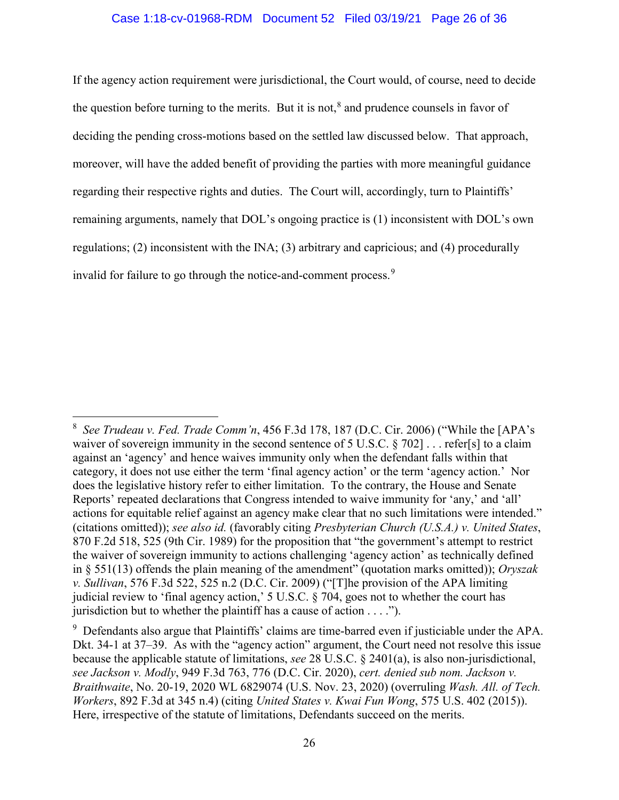## Case 1:18-cv-01968-RDM Document 52 Filed 03/19/21 Page 26 of 36

If the agency action requirement were jurisdictional, the Court would, of course, need to decide the question before turning to the merits. But it is not,<sup>[8](#page-25-0)</sup> and prudence counsels in favor of deciding the pending cross-motions based on the settled law discussed below. That approach, moreover, will have the added benefit of providing the parties with more meaningful guidance regarding their respective rights and duties. The Court will, accordingly, turn to Plaintiffs' remaining arguments, namely that DOL's ongoing practice is (1) inconsistent with DOL's own regulations; (2) inconsistent with the INA; (3) arbitrary and capricious; and (4) procedurally invalid for failure to go through the notice-and-comment process.<sup>[9](#page-25-1)</sup>

<span id="page-25-0"></span> <sup>8</sup> *See Trudeau v. Fed. Trade Comm'n*, 456 F.3d 178, 187 (D.C. Cir. 2006) ("While the [APA's waiver of sovereign immunity in the second sentence of 5 U.S.C. § 702] . . . refer[s] to a claim against an 'agency' and hence waives immunity only when the defendant falls within that category, it does not use either the term 'final agency action' or the term 'agency action.' Nor does the legislative history refer to either limitation. To the contrary, the House and Senate Reports' repeated declarations that Congress intended to waive immunity for 'any,' and 'all' actions for equitable relief against an agency make clear that no such limitations were intended." (citations omitted)); *see also id.* (favorably citing *Presbyterian Church (U.S.A.) v. United States*, 870 F.2d 518, 525 (9th Cir. 1989) for the proposition that "the government's attempt to restrict the waiver of sovereign immunity to actions challenging 'agency action' as technically defined in § 551(13) offends the plain meaning of the amendment" (quotation marks omitted)); *Oryszak v. Sullivan*, 576 F.3d 522, 525 n.2 (D.C. Cir. 2009) ("[T]he provision of the APA limiting judicial review to 'final agency action,' 5 U.S.C. § 704, goes not to whether the court has jurisdiction but to whether the plaintiff has a cause of action . . . .").

<span id="page-25-1"></span> $9$  Defendants also argue that Plaintiffs' claims are time-barred even if justiciable under the APA. Dkt. 34-1 at 37–39. As with the "agency action" argument, the Court need not resolve this issue because the applicable statute of limitations, *see* 28 U.S.C. § 2401(a), is also non-jurisdictional, *see Jackson v. Modly*, 949 F.3d 763, 776 (D.C. Cir. 2020), *cert. denied sub nom. Jackson v. Braithwaite*, No. 20-19, 2020 WL 6829074 (U.S. Nov. 23, 2020) (overruling *Wash. All. of Tech. Workers*, 892 F.3d at 345 n.4) (citing *United States v. Kwai Fun Wong*, 575 U.S. 402 (2015)). Here, irrespective of the statute of limitations, Defendants succeed on the merits.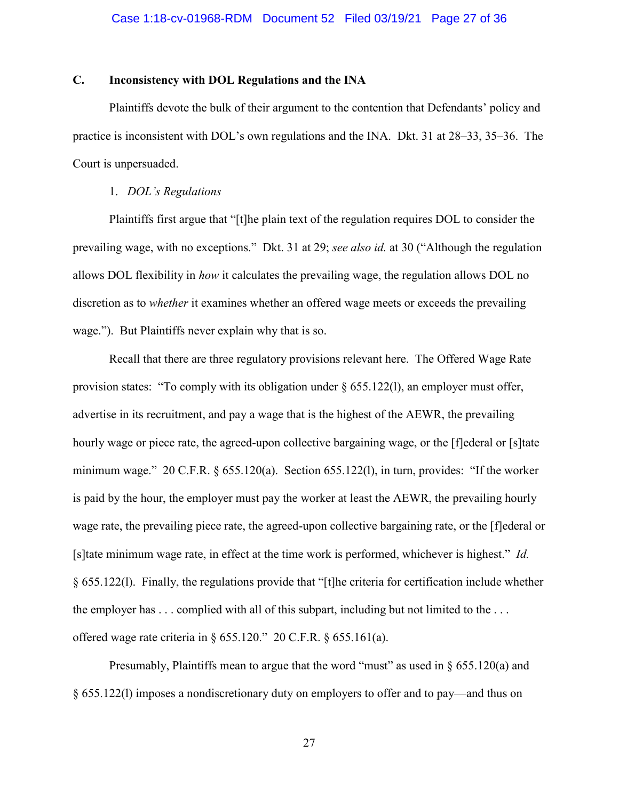# **C. Inconsistency with DOL Regulations and the INA**

Plaintiffs devote the bulk of their argument to the contention that Defendants' policy and practice is inconsistent with DOL's own regulations and the INA. Dkt. 31 at 28–33, 35–36. The Court is unpersuaded.

## 1. *DOL's Regulations*

Plaintiffs first argue that "[t]he plain text of the regulation requires DOL to consider the prevailing wage, with no exceptions." Dkt. 31 at 29; *see also id.* at 30 ("Although the regulation allows DOL flexibility in *how* it calculates the prevailing wage, the regulation allows DOL no discretion as to *whether* it examines whether an offered wage meets or exceeds the prevailing wage."). But Plaintiffs never explain why that is so.

Recall that there are three regulatory provisions relevant here. The Offered Wage Rate provision states: "To comply with its obligation under  $\S 655.122(1)$ , an employer must offer, advertise in its recruitment, and pay a wage that is the highest of the AEWR, the prevailing hourly wage or piece rate, the agreed-upon collective bargaining wage, or the [f]ederal or [s] tate minimum wage." 20 C.F.R. § 655.120(a). Section 655.122(l), in turn, provides: "If the worker is paid by the hour, the employer must pay the worker at least the AEWR, the prevailing hourly wage rate, the prevailing piece rate, the agreed-upon collective bargaining rate, or the [f]ederal or [s]tate minimum wage rate, in effect at the time work is performed, whichever is highest." *Id.* § 655.122(l). Finally, the regulations provide that "[t]he criteria for certification include whether the employer has . . . complied with all of this subpart, including but not limited to the . . . offered wage rate criteria in § 655.120." 20 C.F.R. § 655.161(a).

Presumably, Plaintiffs mean to argue that the word "must" as used in § 655.120(a) and § 655.122(l) imposes a nondiscretionary duty on employers to offer and to pay—and thus on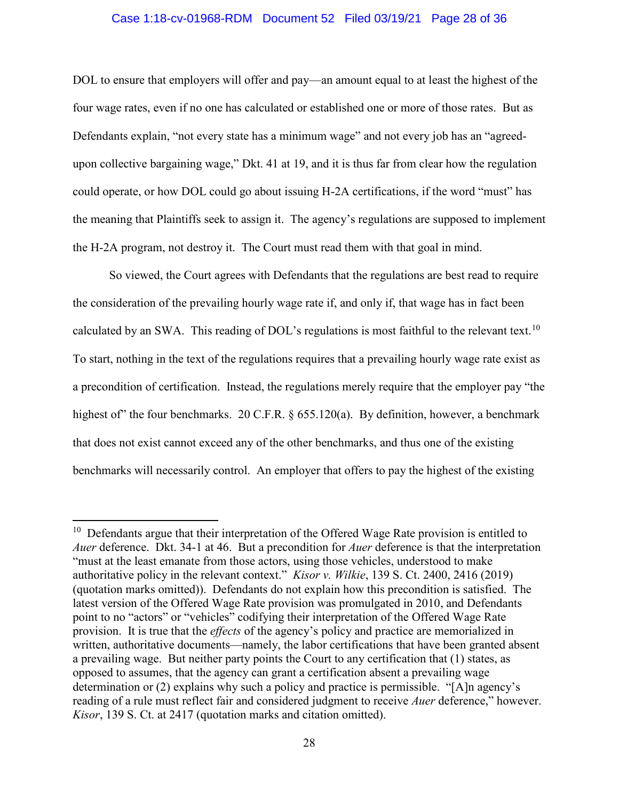### Case 1:18-cv-01968-RDM Document 52 Filed 03/19/21 Page 28 of 36

DOL to ensure that employers will offer and pay—an amount equal to at least the highest of the four wage rates, even if no one has calculated or established one or more of those rates. But as Defendants explain, "not every state has a minimum wage" and not every job has an "agreedupon collective bargaining wage," Dkt. 41 at 19, and it is thus far from clear how the regulation could operate, or how DOL could go about issuing H-2A certifications, if the word "must" has the meaning that Plaintiffs seek to assign it. The agency's regulations are supposed to implement the H-2A program, not destroy it. The Court must read them with that goal in mind.

So viewed, the Court agrees with Defendants that the regulations are best read to require the consideration of the prevailing hourly wage rate if, and only if, that wage has in fact been calculated by an SWA. This reading of DOL's regulations is most faithful to the relevant text.<sup>[10](#page-27-0)</sup> To start, nothing in the text of the regulations requires that a prevailing hourly wage rate exist as a precondition of certification. Instead, the regulations merely require that the employer pay "the highest of" the four benchmarks. 20 C.F.R. § 655.120(a). By definition, however, a benchmark that does not exist cannot exceed any of the other benchmarks, and thus one of the existing benchmarks will necessarily control. An employer that offers to pay the highest of the existing

<span id="page-27-0"></span> $10$  Defendants argue that their interpretation of the Offered Wage Rate provision is entitled to *Auer* deference. Dkt. 34-1 at 46. But a precondition for *Auer* deference is that the interpretation "must at the least emanate from those actors, using those vehicles, understood to make authoritative policy in the relevant context." *Kisor v. Wilkie*, 139 S. Ct. 2400, 2416 (2019) (quotation marks omitted)). Defendants do not explain how this precondition is satisfied. The latest version of the Offered Wage Rate provision was promulgated in 2010, and Defendants point to no "actors" or "vehicles" codifying their interpretation of the Offered Wage Rate provision. It is true that the *effects* of the agency's policy and practice are memorialized in written, authoritative documents—namely, the labor certifications that have been granted absent a prevailing wage. But neither party points the Court to any certification that (1) states, as opposed to assumes, that the agency can grant a certification absent a prevailing wage determination or (2) explains why such a policy and practice is permissible. "[A]n agency's reading of a rule must reflect fair and considered judgment to receive *Auer* deference," however. *Kisor*, 139 S. Ct. at 2417 (quotation marks and citation omitted).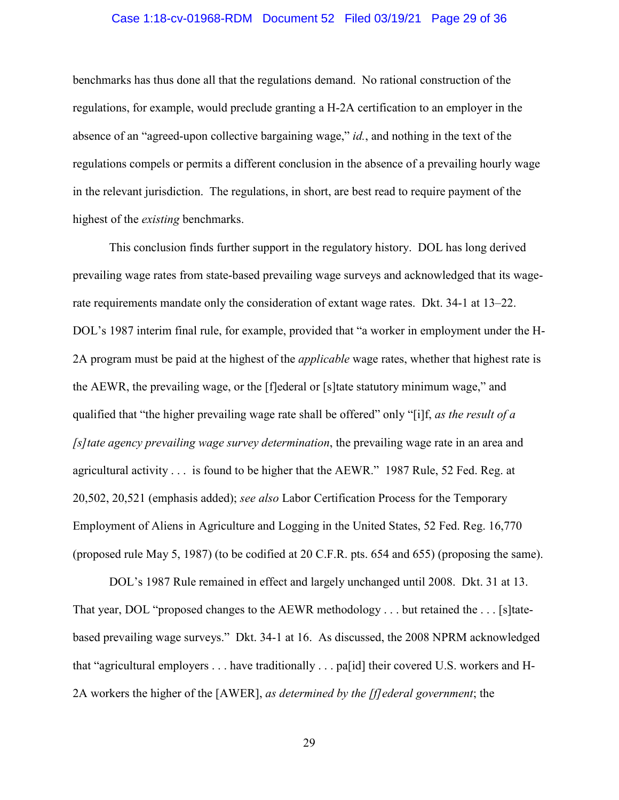### Case 1:18-cv-01968-RDM Document 52 Filed 03/19/21 Page 29 of 36

benchmarks has thus done all that the regulations demand. No rational construction of the regulations, for example, would preclude granting a H-2A certification to an employer in the absence of an "agreed-upon collective bargaining wage," *id.*, and nothing in the text of the regulations compels or permits a different conclusion in the absence of a prevailing hourly wage in the relevant jurisdiction. The regulations, in short, are best read to require payment of the highest of the *existing* benchmarks.

This conclusion finds further support in the regulatory history. DOL has long derived prevailing wage rates from state-based prevailing wage surveys and acknowledged that its wagerate requirements mandate only the consideration of extant wage rates. Dkt. 34-1 at 13–22. DOL's 1987 interim final rule, for example, provided that "a worker in employment under the H-2A program must be paid at the highest of the *applicable* wage rates, whether that highest rate is the AEWR, the prevailing wage, or the [f]ederal or [s]tate statutory minimum wage," and qualified that "the higher prevailing wage rate shall be offered" only "[i]f, *as the result of a [s]tate agency prevailing wage survey determination*, the prevailing wage rate in an area and agricultural activity . . . is found to be higher that the AEWR." 1987 Rule, 52 Fed. Reg. at 20,502, 20,521 (emphasis added); *see also* Labor Certification Process for the Temporary Employment of Aliens in Agriculture and Logging in the United States, 52 Fed. Reg. 16,770 (proposed rule May 5, 1987) (to be codified at 20 C.F.R. pts. 654 and 655) (proposing the same).

DOL's 1987 Rule remained in effect and largely unchanged until 2008. Dkt. 31 at 13. That year, DOL "proposed changes to the AEWR methodology . . . but retained the . . . [s]tatebased prevailing wage surveys." Dkt. 34-1 at 16. As discussed, the 2008 NPRM acknowledged that "agricultural employers . . . have traditionally . . . pa[id] their covered U.S. workers and H-2A workers the higher of the [AWER], *as determined by the [f]ederal government*; the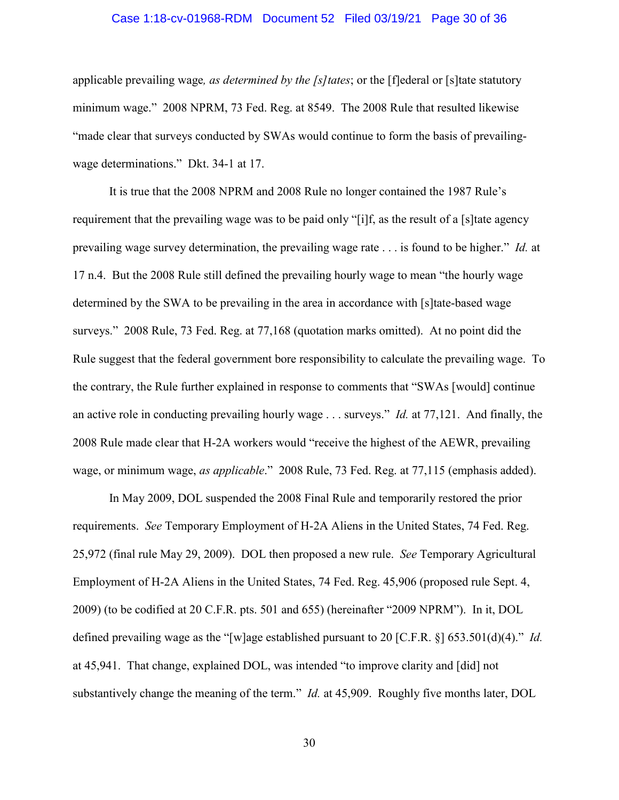### Case 1:18-cv-01968-RDM Document 52 Filed 03/19/21 Page 30 of 36

applicable prevailing wage*, as determined by the [s]tates*; or the [f]ederal or [s]tate statutory minimum wage." 2008 NPRM, 73 Fed. Reg. at 8549. The 2008 Rule that resulted likewise "made clear that surveys conducted by SWAs would continue to form the basis of prevailingwage determinations." Dkt. 34-1 at 17.

It is true that the 2008 NPRM and 2008 Rule no longer contained the 1987 Rule's requirement that the prevailing wage was to be paid only "[i]f, as the result of a [s]tate agency prevailing wage survey determination, the prevailing wage rate . . . is found to be higher." *Id.* at 17 n.4. But the 2008 Rule still defined the prevailing hourly wage to mean "the hourly wage determined by the SWA to be prevailing in the area in accordance with [s]tate-based wage surveys." 2008 Rule, 73 Fed. Reg. at 77,168 (quotation marks omitted). At no point did the Rule suggest that the federal government bore responsibility to calculate the prevailing wage. To the contrary, the Rule further explained in response to comments that "SWAs [would] continue an active role in conducting prevailing hourly wage . . . surveys." *Id.* at 77,121. And finally, the 2008 Rule made clear that H-2A workers would "receive the highest of the AEWR, prevailing wage, or minimum wage, *as applicable*." 2008 Rule, 73 Fed. Reg. at 77,115 (emphasis added).

In May 2009, DOL suspended the 2008 Final Rule and temporarily restored the prior requirements. *See* Temporary Employment of H-2A Aliens in the United States, 74 Fed. Reg. 25,972 (final rule May 29, 2009). DOL then proposed a new rule. *See* Temporary Agricultural Employment of H-2A Aliens in the United States, 74 Fed. Reg. 45,906 (proposed rule Sept. 4, 2009) (to be codified at 20 C.F.R. pts. 501 and 655) (hereinafter "2009 NPRM"). In it, DOL defined prevailing wage as the "[w]age established pursuant to 20 [C.F.R. §] 653.501(d)(4)." *Id.*  at 45,941. That change, explained DOL, was intended "to improve clarity and [did] not substantively change the meaning of the term." *Id.* at 45,909. Roughly five months later, DOL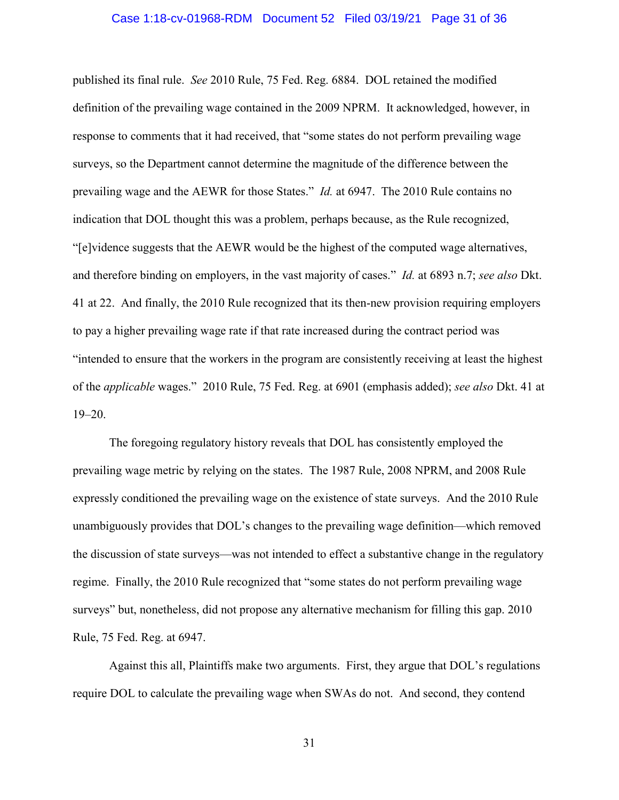### Case 1:18-cv-01968-RDM Document 52 Filed 03/19/21 Page 31 of 36

published its final rule. *See* 2010 Rule, 75 Fed. Reg. 6884. DOL retained the modified definition of the prevailing wage contained in the 2009 NPRM. It acknowledged, however, in response to comments that it had received, that "some states do not perform prevailing wage surveys, so the Department cannot determine the magnitude of the difference between the prevailing wage and the AEWR for those States." *Id.* at 6947. The 2010 Rule contains no indication that DOL thought this was a problem, perhaps because, as the Rule recognized, "[e]vidence suggests that the AEWR would be the highest of the computed wage alternatives, and therefore binding on employers, in the vast majority of cases." *Id.* at 6893 n.7; *see also* Dkt. 41 at 22. And finally, the 2010 Rule recognized that its then-new provision requiring employers to pay a higher prevailing wage rate if that rate increased during the contract period was "intended to ensure that the workers in the program are consistently receiving at least the highest of the *applicable* wages." 2010 Rule, 75 Fed. Reg. at 6901 (emphasis added); *see also* Dkt. 41 at 19–20.

The foregoing regulatory history reveals that DOL has consistently employed the prevailing wage metric by relying on the states. The 1987 Rule, 2008 NPRM, and 2008 Rule expressly conditioned the prevailing wage on the existence of state surveys. And the 2010 Rule unambiguously provides that DOL's changes to the prevailing wage definition—which removed the discussion of state surveys—was not intended to effect a substantive change in the regulatory regime. Finally, the 2010 Rule recognized that "some states do not perform prevailing wage surveys" but, nonetheless, did not propose any alternative mechanism for filling this gap. 2010 Rule, 75 Fed. Reg. at 6947.

Against this all, Plaintiffs make two arguments. First, they argue that DOL's regulations require DOL to calculate the prevailing wage when SWAs do not. And second, they contend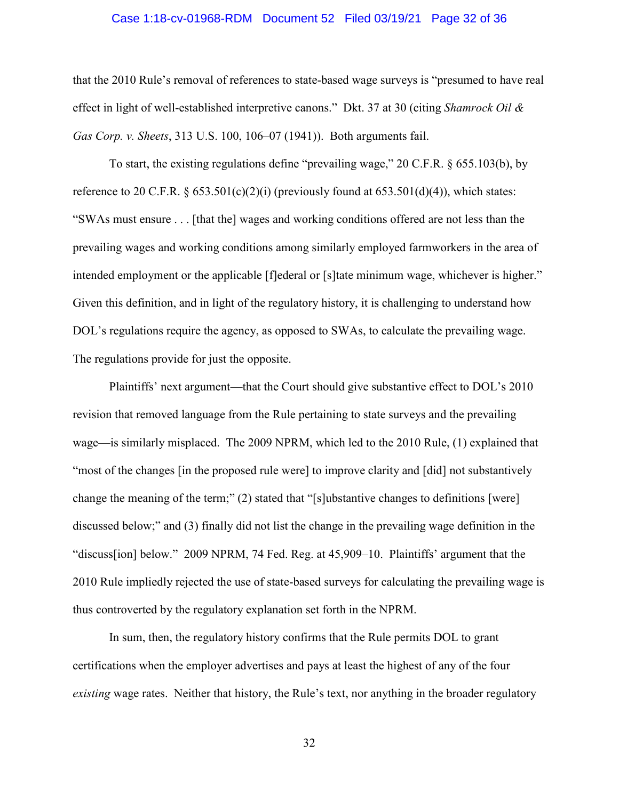### Case 1:18-cv-01968-RDM Document 52 Filed 03/19/21 Page 32 of 36

that the 2010 Rule's removal of references to state-based wage surveys is "presumed to have real effect in light of well-established interpretive canons." Dkt. 37 at 30 (citing *Shamrock Oil & Gas Corp. v. Sheets*, 313 U.S. 100, 106–07 (1941)). Both arguments fail.

To start, the existing regulations define "prevailing wage," 20 C.F.R. § 655.103(b), by reference to 20 C.F.R.  $\S 653.501(c)(2)(i)$  (previously found at 653.501(d)(4)), which states: "SWAs must ensure . . . [that the] wages and working conditions offered are not less than the prevailing wages and working conditions among similarly employed farmworkers in the area of intended employment or the applicable [f]ederal or [s]tate minimum wage, whichever is higher." Given this definition, and in light of the regulatory history, it is challenging to understand how DOL's regulations require the agency, as opposed to SWAs, to calculate the prevailing wage. The regulations provide for just the opposite.

Plaintiffs' next argument—that the Court should give substantive effect to DOL's 2010 revision that removed language from the Rule pertaining to state surveys and the prevailing wage—is similarly misplaced. The 2009 NPRM, which led to the 2010 Rule, (1) explained that "most of the changes [in the proposed rule were] to improve clarity and [did] not substantively change the meaning of the term;" (2) stated that "[s]ubstantive changes to definitions [were] discussed below;" and (3) finally did not list the change in the prevailing wage definition in the "discuss[ion] below." 2009 NPRM, 74 Fed. Reg. at 45,909–10. Plaintiffs' argument that the 2010 Rule impliedly rejected the use of state-based surveys for calculating the prevailing wage is thus controverted by the regulatory explanation set forth in the NPRM.

In sum, then, the regulatory history confirms that the Rule permits DOL to grant certifications when the employer advertises and pays at least the highest of any of the four *existing* wage rates. Neither that history, the Rule's text, nor anything in the broader regulatory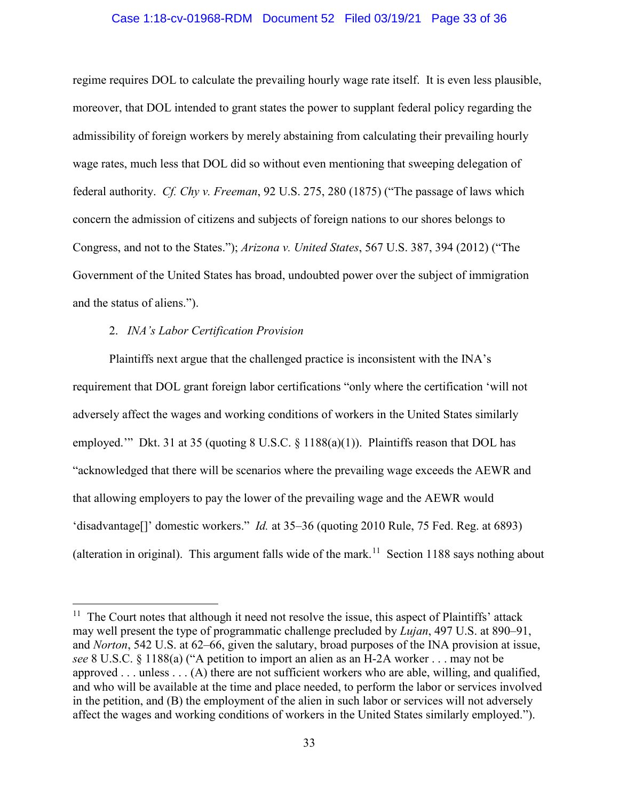### Case 1:18-cv-01968-RDM Document 52 Filed 03/19/21 Page 33 of 36

regime requires DOL to calculate the prevailing hourly wage rate itself. It is even less plausible, moreover, that DOL intended to grant states the power to supplant federal policy regarding the admissibility of foreign workers by merely abstaining from calculating their prevailing hourly wage rates, much less that DOL did so without even mentioning that sweeping delegation of federal authority. *Cf. Chy v. Freeman*, 92 U.S. 275, 280 (1875) ("The passage of laws which concern the admission of citizens and subjects of foreign nations to our shores belongs to Congress, and not to the States."); *Arizona v. United States*, 567 U.S. 387, 394 (2012) ("The Government of the United States has broad, undoubted power over the subject of immigration and the status of aliens.").

## 2. *INA's Labor Certification Provision*

Plaintiffs next argue that the challenged practice is inconsistent with the INA's requirement that DOL grant foreign labor certifications "only where the certification 'will not adversely affect the wages and working conditions of workers in the United States similarly employed.'" Dkt. 31 at 35 (quoting 8 U.S.C. § 1188(a)(1)). Plaintiffs reason that DOL has "acknowledged that there will be scenarios where the prevailing wage exceeds the AEWR and that allowing employers to pay the lower of the prevailing wage and the AEWR would 'disadvantage[]' domestic workers." *Id.* at 35–36 (quoting 2010 Rule, 75 Fed. Reg. at 6893) (alteration in original). This argument falls wide of the mark.<sup>11</sup> Section 1188 says nothing about

<span id="page-32-0"></span> $11$  The Court notes that although it need not resolve the issue, this aspect of Plaintiffs' attack may well present the type of programmatic challenge precluded by *Lujan*, 497 U.S. at 890–91, and *Norton*, 542 U.S. at 62–66, given the salutary, broad purposes of the INA provision at issue, *see* 8 U.S.C. § 1188(a) ("A petition to import an alien as an H-2A worker . . . may not be approved . . . unless . . . (A) there are not sufficient workers who are able, willing, and qualified, and who will be available at the time and place needed, to perform the labor or services involved in the petition, and (B) the employment of the alien in such labor or services will not adversely affect the wages and working conditions of workers in the United States similarly employed.").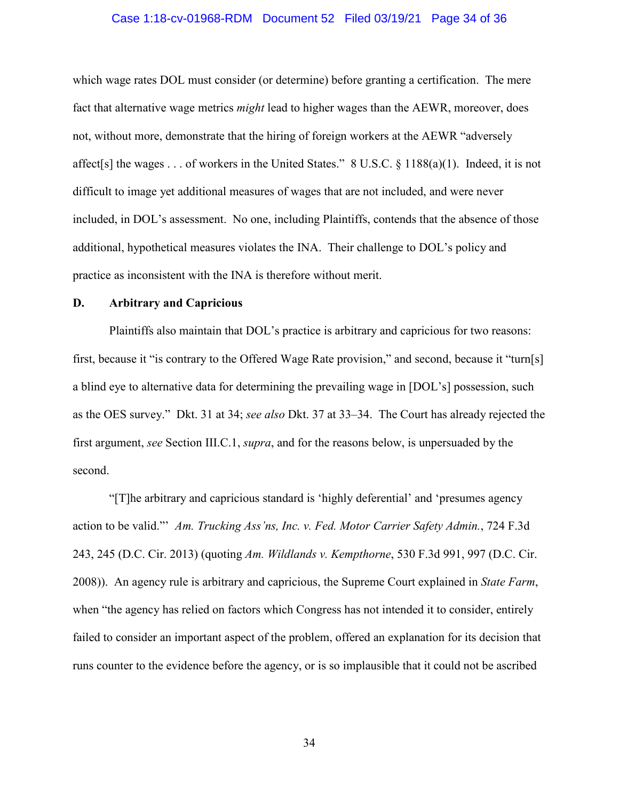### Case 1:18-cv-01968-RDM Document 52 Filed 03/19/21 Page 34 of 36

which wage rates DOL must consider (or determine) before granting a certification. The mere fact that alternative wage metrics *might* lead to higher wages than the AEWR, moreover, does not, without more, demonstrate that the hiring of foreign workers at the AEWR "adversely affect[s] the wages . . . of workers in the United States." 8 U.S.C. § 1188(a)(1). Indeed, it is not difficult to image yet additional measures of wages that are not included, and were never included, in DOL's assessment. No one, including Plaintiffs, contends that the absence of those additional, hypothetical measures violates the INA. Their challenge to DOL's policy and practice as inconsistent with the INA is therefore without merit.

## **D. Arbitrary and Capricious**

Plaintiffs also maintain that DOL's practice is arbitrary and capricious for two reasons: first, because it "is contrary to the Offered Wage Rate provision," and second, because it "turn[s] a blind eye to alternative data for determining the prevailing wage in [DOL's] possession, such as the OES survey." Dkt. 31 at 34; *see also* Dkt. 37 at 33–34. The Court has already rejected the first argument, *see* Section III.C.1, *supra*, and for the reasons below, is unpersuaded by the second.

"[T]he arbitrary and capricious standard is 'highly deferential' and 'presumes agency action to be valid."' *Am. Trucking Ass'ns, Inc. v. Fed. Motor Carrier Safety Admin.*, 724 F.3d 243, 245 (D.C. Cir. 2013) (quoting *Am. Wildlands v. Kempthorne*, 530 F.3d 991, 997 (D.C. Cir. 2008)). An agency rule is arbitrary and capricious, the Supreme Court explained in *State Farm*, when "the agency has relied on factors which Congress has not intended it to consider, entirely failed to consider an important aspect of the problem, offered an explanation for its decision that runs counter to the evidence before the agency, or is so implausible that it could not be ascribed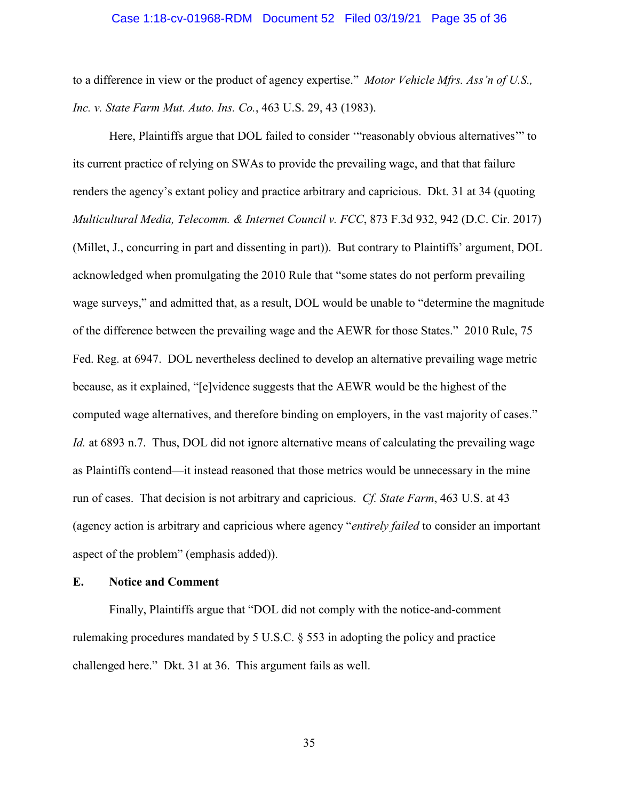### Case 1:18-cv-01968-RDM Document 52 Filed 03/19/21 Page 35 of 36

to a difference in view or the product of agency expertise." *Motor Vehicle Mfrs. Ass'n of U.S., Inc. v. State Farm Mut. Auto. Ins. Co.*, 463 U.S. 29, 43 (1983).

Here, Plaintiffs argue that DOL failed to consider '"reasonably obvious alternatives'" to its current practice of relying on SWAs to provide the prevailing wage, and that that failure renders the agency's extant policy and practice arbitrary and capricious. Dkt. 31 at 34 (quoting *Multicultural Media, Telecomm. & Internet Council v. FCC*, 873 F.3d 932, 942 (D.C. Cir. 2017) (Millet, J., concurring in part and dissenting in part)). But contrary to Plaintiffs' argument, DOL acknowledged when promulgating the 2010 Rule that "some states do not perform prevailing wage surveys," and admitted that, as a result, DOL would be unable to "determine the magnitude of the difference between the prevailing wage and the AEWR for those States." 2010 Rule, 75 Fed. Reg. at 6947. DOL nevertheless declined to develop an alternative prevailing wage metric because, as it explained, "[e]vidence suggests that the AEWR would be the highest of the computed wage alternatives, and therefore binding on employers, in the vast majority of cases." *Id.* at 6893 n.7. Thus, DOL did not ignore alternative means of calculating the prevailing wage as Plaintiffs contend—it instead reasoned that those metrics would be unnecessary in the mine run of cases. That decision is not arbitrary and capricious. *Cf. State Farm*, 463 U.S. at 43 (agency action is arbitrary and capricious where agency "*entirely failed* to consider an important aspect of the problem" (emphasis added)).

## **E. Notice and Comment**

Finally, Plaintiffs argue that "DOL did not comply with the notice-and-comment rulemaking procedures mandated by 5 U.S.C. § 553 in adopting the policy and practice challenged here." Dkt. 31 at 36. This argument fails as well.